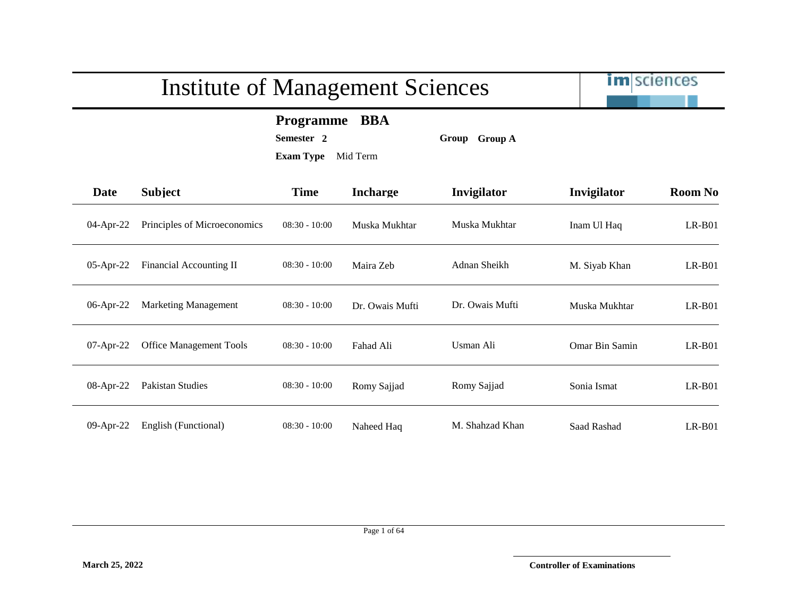im sciences

#### **Programme BBA**

**Semester 2 Group Group A**

| Date         | <b>Subject</b>                 | <b>Time</b>     | <b>Incharge</b> | Invigilator     | Invigilator    | <b>Room No</b> |
|--------------|--------------------------------|-----------------|-----------------|-----------------|----------------|----------------|
| 04-Apr-22    | Principles of Microeconomics   | $08:30 - 10:00$ | Muska Mukhtar   | Muska Mukhtar   | Inam Ul Haq    | $LR-B01$       |
| $05$ -Apr-22 | Financial Accounting II        | $08:30 - 10:00$ | Maira Zeb       | Adnan Sheikh    | M. Siyab Khan  | $LR-B01$       |
| 06-Apr-22    | <b>Marketing Management</b>    | $08:30 - 10:00$ | Dr. Owais Mufti | Dr. Owais Mufti | Muska Mukhtar  | $LR-B01$       |
| 07-Apr-22    | <b>Office Management Tools</b> | $08:30 - 10:00$ | Fahad Ali       | Usman Ali       | Omar Bin Samin | $LR-B01$       |
| 08-Apr-22    | Pakistan Studies               | $08:30 - 10:00$ | Romy Sajjad     | Romy Sajjad     | Sonia Ismat    | $LR-B01$       |
| 09-Apr-22    | English (Functional)           | $08:30 - 10:00$ | Naheed Haq      | M. Shahzad Khan | Saad Rashad    | $LR-B01$       |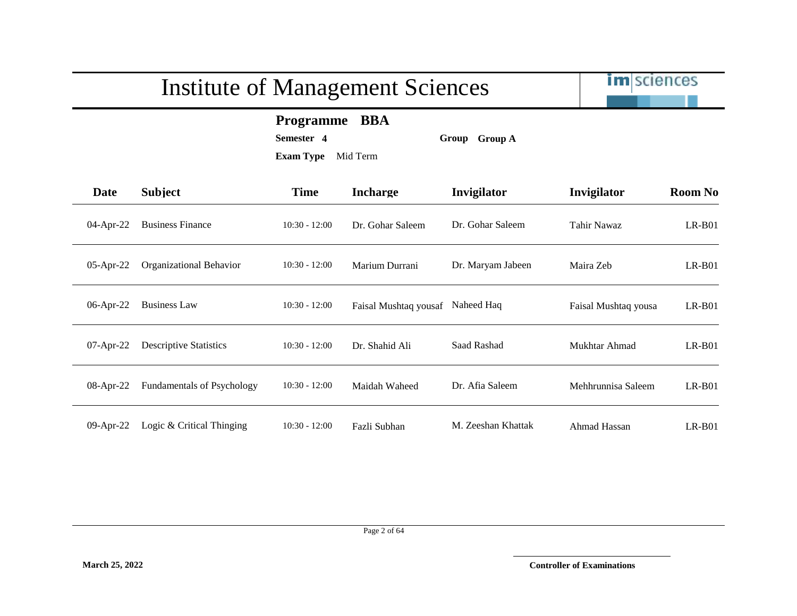

**Programme BBA**

**Semester 4 Group Group A**

| Date         | <b>Subject</b>                    | <b>Time</b>     | <b>Incharge</b>       | Invigilator        | Invigilator          | <b>Room No</b> |
|--------------|-----------------------------------|-----------------|-----------------------|--------------------|----------------------|----------------|
| 04-Apr-22    | <b>Business Finance</b>           | $10:30 - 12:00$ | Dr. Gohar Saleem      | Dr. Gohar Saleem   | Tahir Nawaz          | $LR-B01$       |
| 05-Apr-22    | Organizational Behavior           | $10:30 - 12:00$ | Marium Durrani        | Dr. Maryam Jabeen  | Maira Zeb            | $LR-B01$       |
| $06$ -Apr-22 | <b>Business Law</b>               | $10:30 - 12:00$ | Faisal Mushtaq yousaf | Naheed Haq         | Faisal Mushtaq yousa | $LR-B01$       |
| 07-Apr-22    | <b>Descriptive Statistics</b>     | $10:30 - 12:00$ | Dr. Shahid Ali        | Saad Rashad        | Mukhtar Ahmad        | $LR-B01$       |
| $08$ -Apr-22 | <b>Fundamentals of Psychology</b> | $10:30 - 12:00$ | Maidah Waheed         | Dr. Afia Saleem    | Mehhrunnisa Saleem   | $LR-B01$       |
| 09-Apr-22    | Logic & Critical Thinging         | $10:30 - 12:00$ | Fazli Subhan          | M. Zeeshan Khattak | Ahmad Hassan         | $LR-B01$       |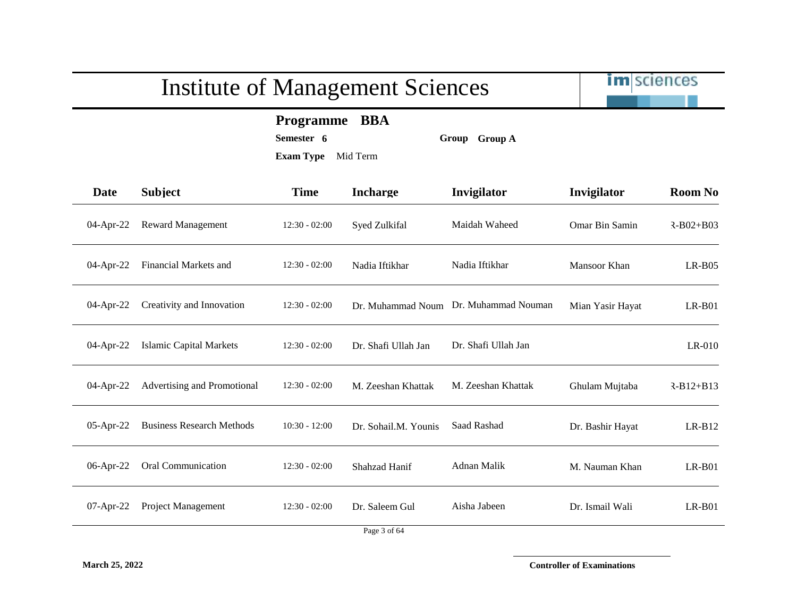im sciences

**Programme BBA**

**Semester 6 Group Group A**

**Exam Type** Mid Term

| <b>Date</b>  | <b>Subject</b>                   | <b>Time</b>     | <b>Incharge</b>      | Invigilator                           | Invigilator      | <b>Room No</b>  |
|--------------|----------------------------------|-----------------|----------------------|---------------------------------------|------------------|-----------------|
| 04-Apr-22    | <b>Reward Management</b>         | $12:30 - 02:00$ | Syed Zulkifal        | Maidah Waheed                         | Omar Bin Samin   | $R - B02 + B03$ |
| 04-Apr-22    | Financial Markets and            | $12:30 - 02:00$ | Nadia Iftikhar       | Nadia Iftikhar                        | Mansoor Khan     | $LR-B05$        |
| 04-Apr-22    | Creativity and Innovation        | $12:30 - 02:00$ |                      | Dr. Muhammad Noum Dr. Muhammad Nouman | Mian Yasir Hayat | $LR-B01$        |
| 04-Apr-22    | <b>Islamic Capital Markets</b>   | $12:30 - 02:00$ | Dr. Shafi Ullah Jan  | Dr. Shafi Ullah Jan                   |                  | LR-010          |
| 04-Apr-22    | Advertising and Promotional      | $12:30 - 02:00$ | M. Zeeshan Khattak   | M. Zeeshan Khattak                    | Ghulam Mujtaba   | $R-B12+B13$     |
| 05-Apr-22    | <b>Business Research Methods</b> | $10:30 - 12:00$ | Dr. Sohail.M. Younis | Saad Rashad                           | Dr. Bashir Hayat | $LR-B12$        |
| 06-Apr-22    | Oral Communication               | $12:30 - 02:00$ | Shahzad Hanif        | Adnan Malik                           | M. Nauman Khan   | $LR-B01$        |
| $07$ -Apr-22 | <b>Project Management</b>        | $12:30 - 02:00$ | Dr. Saleem Gul       | Aisha Jabeen                          | Dr. Ismail Wali  | $LR-B01$        |
|              |                                  |                 | Page 3 of 64         |                                       |                  |                 |

**March 25, 2022 Controller of Examinations**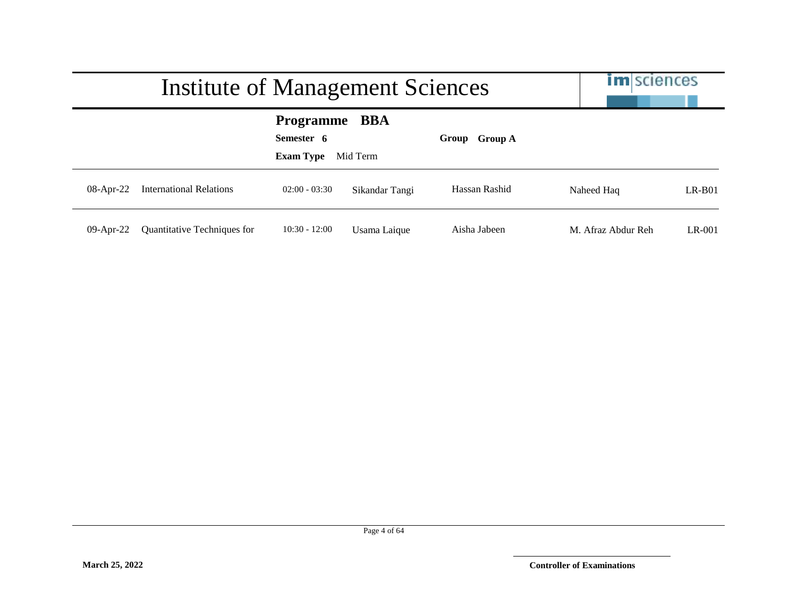|              | Institute of Management Sciences   |                                                    |                 |               | <b>im</b> sciences |          |
|--------------|------------------------------------|----------------------------------------------------|-----------------|---------------|--------------------|----------|
|              |                                    | <b>Programme</b><br>Semester 6<br><b>Exam Type</b> | BBA<br>Mid Term | Group Group A |                    |          |
| $08$ -Apr-22 | <b>International Relations</b>     | $02:00 - 03:30$                                    | Sikandar Tangi  | Hassan Rashid | Naheed Haq         | $LR-B01$ |
| $09$ -Apr-22 | <b>Quantitative Techniques for</b> | $10:30 - 12:00$                                    | Usama Laique    | Aisha Jabeen  | M. Afraz Abdur Reh | $LR-001$ |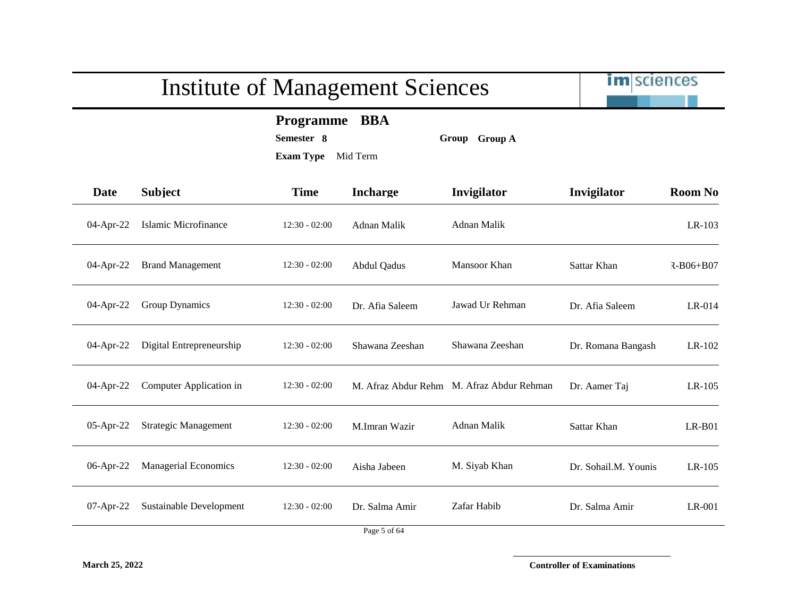im sciences

**Programme BBA**

**Semester 8 Group Group A**

**Exam Type** Mid Term

| Date      | <b>Subject</b>              | <b>Time</b>     | <b>Incharge</b>                                          | Invigilator                               | Invigilator          | <b>Room No</b> |
|-----------|-----------------------------|-----------------|----------------------------------------------------------|-------------------------------------------|----------------------|----------------|
| 04-Apr-22 | Islamic Microfinance        | $12:30 - 02:00$ | Adnan Malik                                              | Adnan Malik                               |                      | LR-103         |
| 04-Apr-22 | <b>Brand Management</b>     | $12:30 - 02:00$ | Abdul Qadus                                              | Mansoor Khan                              | Sattar Khan          | R-B06+B07      |
| 04-Apr-22 | Group Dynamics              | $12:30 - 02:00$ | Dr. Afia Saleem                                          | Jawad Ur Rehman                           | Dr. Afia Saleem      | LR-014         |
| 04-Apr-22 | Digital Entrepreneurship    | $12:30 - 02:00$ | Shawana Zeeshan                                          | Shawana Zeeshan                           | Dr. Romana Bangash   | LR-102         |
| 04-Apr-22 | Computer Application in     | $12:30 - 02:00$ |                                                          | M. Afraz Abdur Rehm M. Afraz Abdur Rehman | Dr. Aamer Taj        | LR-105         |
| 05-Apr-22 | <b>Strategic Management</b> | $12:30 - 02:00$ | M.Imran Wazir                                            | Adnan Malik                               | Sattar Khan          | $LR-B01$       |
| 06-Apr-22 | <b>Managerial Economics</b> | $12:30 - 02:00$ | Aisha Jabeen                                             | M. Siyab Khan                             | Dr. Sohail.M. Younis | LR-105         |
| 07-Apr-22 | Sustainable Development     | $12:30 - 02:00$ | Dr. Salma Amir<br>$\mathbf{r}$ $\mathbf{r}$ $\mathbf{r}$ | Zafar Habib                               | Dr. Salma Amir       | LR-001         |

**March 25, 2022 Controller of Examinations**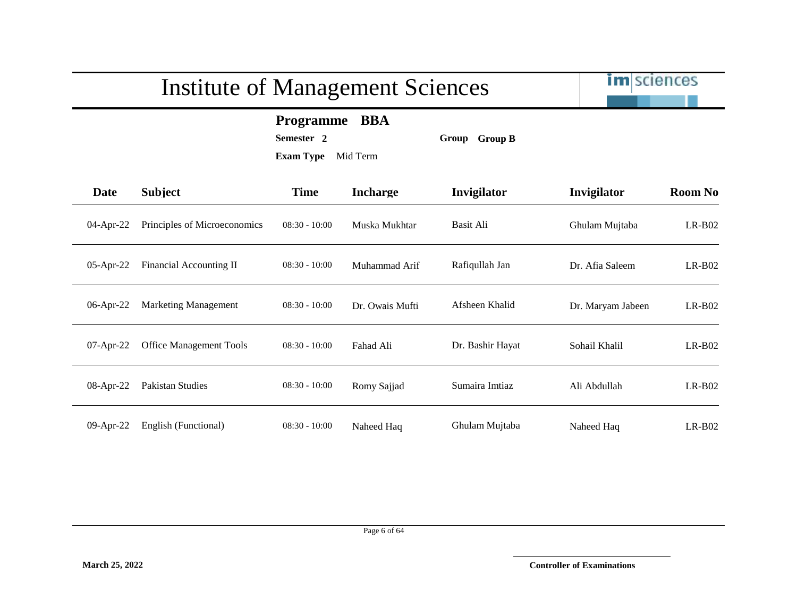im sciences

**Programme BBA**

**Semester 2 Group Group B**

**Exam Type** Mid Term

| <b>Date</b> | <b>Subject</b>                 | <b>Time</b>     | <b>Incharge</b> | Invigilator      | Invigilator       | <b>Room No</b> |
|-------------|--------------------------------|-----------------|-----------------|------------------|-------------------|----------------|
| 04-Apr-22   | Principles of Microeconomics   | $08:30 - 10:00$ | Muska Mukhtar   | Basit Ali        | Ghulam Mujtaba    | $LR-B02$       |
| 05-Apr-22   | Financial Accounting II        | $08:30 - 10:00$ | Muhammad Arif   | Rafiqullah Jan   | Dr. Afia Saleem   | $LR-B02$       |
| 06-Apr-22   | <b>Marketing Management</b>    | $08:30 - 10:00$ | Dr. Owais Mufti | Afsheen Khalid   | Dr. Maryam Jabeen | $LR-B02$       |
| 07-Apr-22   | <b>Office Management Tools</b> | $08:30 - 10:00$ | Fahad Ali       | Dr. Bashir Hayat | Sohail Khalil     | $LR-B02$       |
| 08-Apr-22   | Pakistan Studies               | $08:30 - 10:00$ | Romy Sajjad     | Sumaira Imtiaz   | Ali Abdullah      | $LR-B02$       |
| 09-Apr-22   | English (Functional)           | $08:30 - 10:00$ | Naheed Haq      | Ghulam Mujtaba   | Naheed Haq        | $LR-B02$       |

Page 6 of 64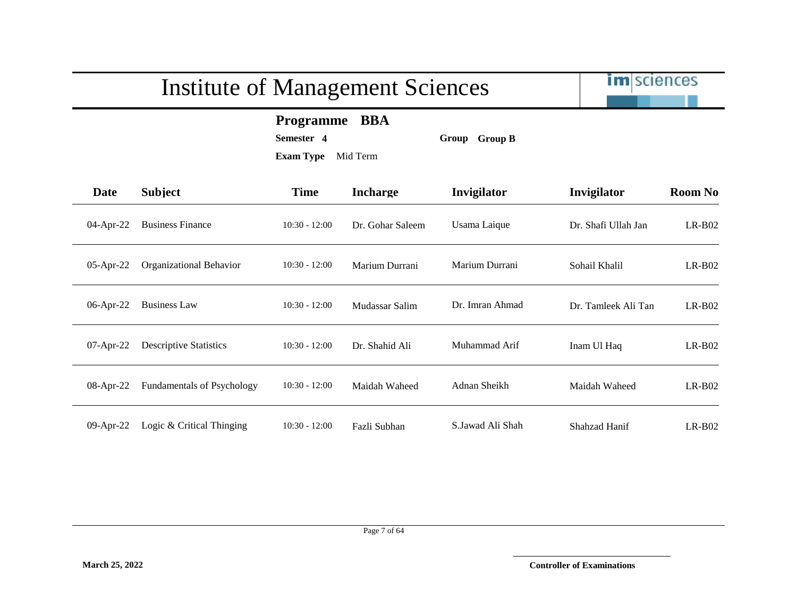

**Programme BBA**

**Semester 4 Group Group B**

| Date        | <b>Subject</b>                    | <b>Time</b>     | <b>Incharge</b>  | Invigilator      | Invigilator         | <b>Room No</b> |
|-------------|-----------------------------------|-----------------|------------------|------------------|---------------------|----------------|
| 04-Apr-22   | <b>Business Finance</b>           | $10:30 - 12:00$ | Dr. Gohar Saleem | Usama Laique     | Dr. Shafi Ullah Jan | $LR-B02$       |
| 05-Apr-22   | Organizational Behavior           | $10:30 - 12:00$ | Marium Durrani   | Marium Durrani   | Sohail Khalil       | $LR-B02$       |
| 06-Apr-22   | <b>Business Law</b>               | $10:30 - 12:00$ | Mudassar Salim   | Dr. Imran Ahmad  | Dr. Tamleek Ali Tan | $LR-B02$       |
| $07-Apr-22$ | <b>Descriptive Statistics</b>     | $10:30 - 12:00$ | Dr. Shahid Ali   | Muhammad Arif    | Inam Ul Haq         | $LR-B02$       |
| 08-Apr-22   | <b>Fundamentals of Psychology</b> | $10:30 - 12:00$ | Maidah Waheed    | Adnan Sheikh     | Maidah Waheed       | $LR-B02$       |
| 09-Apr-22   | Logic & Critical Thinging         | $10:30 - 12:00$ | Fazli Subhan     | S.Jawad Ali Shah | Shahzad Hanif       | $LR-B02$       |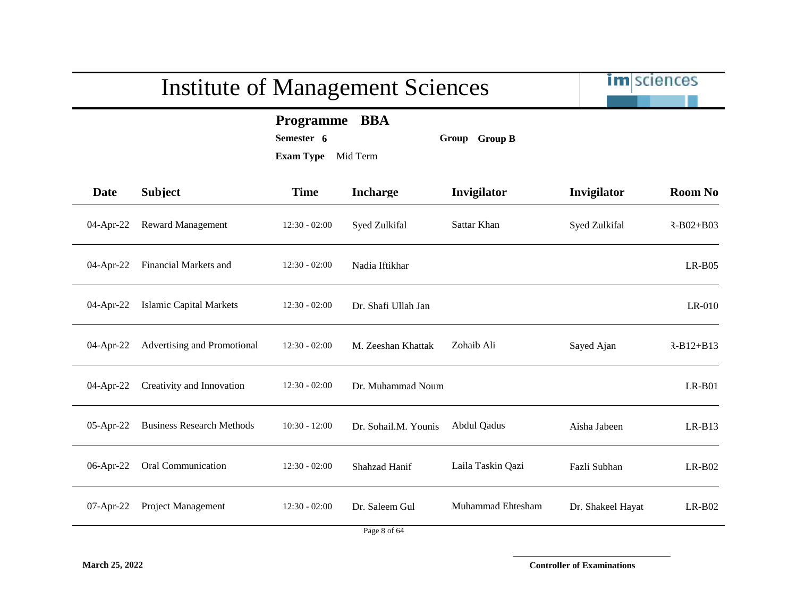| <b>Subject</b>                   | <b>Programme</b><br>Semester 6<br><b>Exam Type</b> | <b>BBA</b><br>Mid Term | Group Group B      |                   |                |
|----------------------------------|----------------------------------------------------|------------------------|--------------------|-------------------|----------------|
|                                  |                                                    |                        |                    |                   |                |
|                                  | <b>Time</b>                                        | <b>Incharge</b>        | Invigilator        | Invigilator       | <b>Room No</b> |
| <b>Reward Management</b>         | $12:30 - 02:00$                                    | Syed Zulkifal          | Sattar Khan        | Syed Zulkifal     | $R-B02+B03$    |
| Financial Markets and            | $12:30 - 02:00$                                    | Nadia Iftikhar         |                    |                   | $LR-B05$       |
| <b>Islamic Capital Markets</b>   | $12:30 - 02:00$                                    | Dr. Shafi Ullah Jan    |                    |                   | $LR-010$       |
| Advertising and Promotional      | $12:30 - 02:00$                                    | M. Zeeshan Khattak     | Zohaib Ali         | Sayed Ajan        | $R-B12+B13$    |
| Creativity and Innovation        | $12:30 - 02:00$                                    | Dr. Muhammad Noum      |                    |                   | $LR-B01$       |
| <b>Business Research Methods</b> | $10:30 - 12:00$                                    | Dr. Sohail.M. Younis   | <b>Abdul Qadus</b> | Aisha Jabeen      | $LR-B13$       |
| Oral Communication               | $12:30 - 02:00$                                    | Shahzad Hanif          | Laila Taskin Qazi  | Fazli Subhan      | $LR-B02$       |
| Project Management               | $12:30 - 02:00$                                    | Dr. Saleem Gul         | Muhammad Ehtesham  | Dr. Shakeel Hayat | $LR-B02$       |
|                                  |                                                    |                        |                    |                   | Page 8 of 64   |

**March 25, 2022 Controller of Examinations**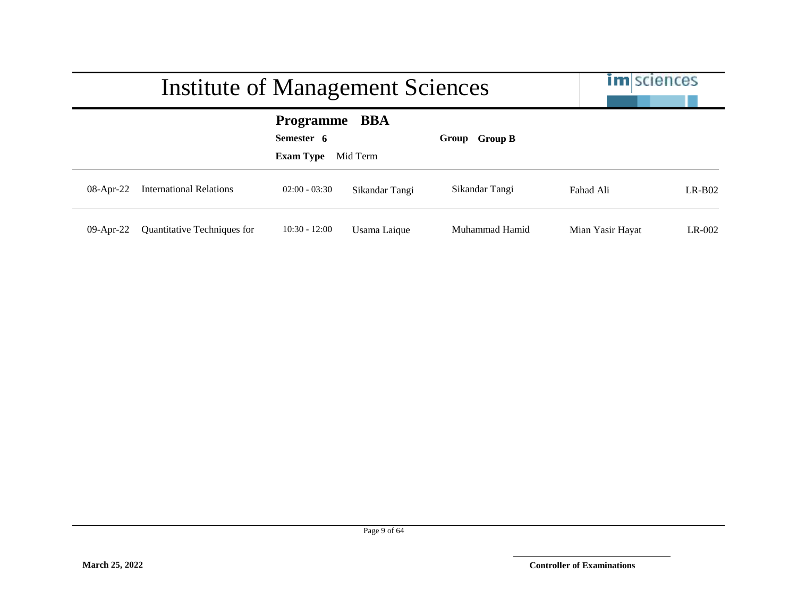|              | Institute of Management Sciences |                                                        |                |                | <b>im</b> sciences |          |
|--------------|----------------------------------|--------------------------------------------------------|----------------|----------------|--------------------|----------|
|              |                                  | <b>Programme BBA</b><br>Semester 6<br><b>Exam Type</b> | Mid Term       | Group Group B  |                    |          |
| $08$ -Apr-22 | <b>International Relations</b>   | $02:00 - 03:30$                                        | Sikandar Tangi | Sikandar Tangi | Fahad Ali          | $LR-B02$ |
| $09$ -Apr-22 | Quantitative Techniques for      | $10:30 - 12:00$                                        | Usama Laique   | Muhammad Hamid | Mian Yasir Hayat   | $LR-002$ |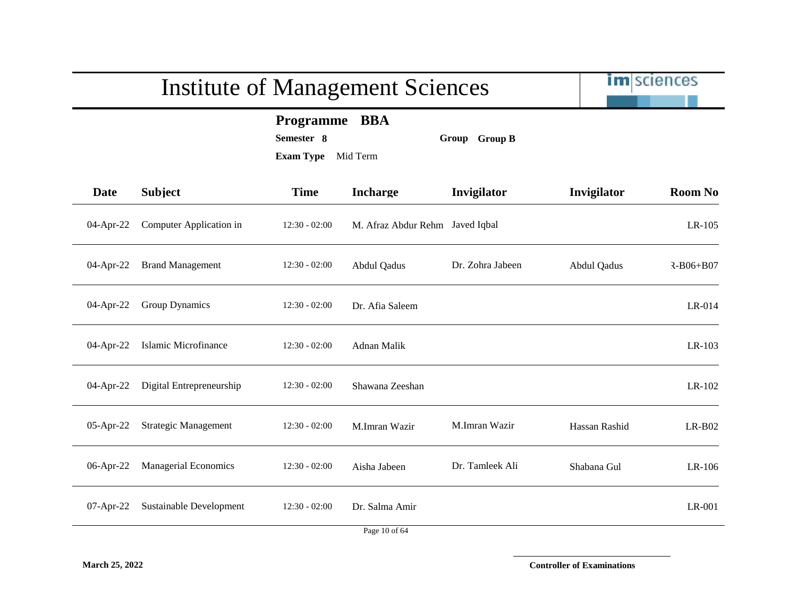# im sciences Institute of Management Sciences **Programme BBA Semester 8 Group Group B Exam Type** Mid Term **Date Subject Time Incharge Invigilator Invigilator Room No** 04-Apr-22 Computer Application in 12:30 - 02:00 M. Afraz Abdur Rehm Javed Iqbal LR-105 04-Apr-22 Brand Management 12:30 - 02:00 Abdul Qadus Dr. Zohra Jabeen Abdul Qadus R-B06+B07 04-Apr-22 Group Dynamics 12:30 - 02:00 Dr. Afia Saleem LR-014 04-Apr-22 Islamic Microfinance 12:30 - 02:00 Adnan Malik LR-103 04-Apr-22 Digital Entrepreneurship 12:30 - 02:00 Shawana Zeeshan LR-102 05-Apr-22 Strategic Management 12:30 - 02:00 M.Imran Wazir M.Imran Wazir Hassan Rashid LR-B02 06-Apr-22 Managerial Economics 12:30 - 02:00 Aisha Jabeen Dr. Tamleek Ali Shabana Gul LR-106 07-Apr-22 Sustainable Development 12:30 - 02:00 Dr. Salma Amir LR-001

**March 25, 2022 Controller of Examinations**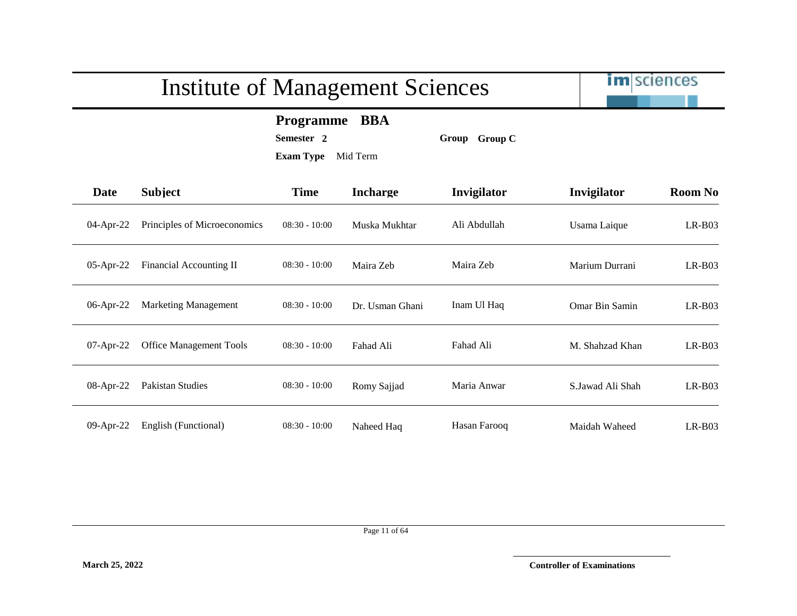im sciences

**Programme BBA**

**Semester 2 Group Group C**

| Date         | <b>Subject</b>                 | <b>Time</b>     | <b>Incharge</b> | Invigilator  | Invigilator      | <b>Room No</b> |
|--------------|--------------------------------|-----------------|-----------------|--------------|------------------|----------------|
| 04-Apr-22    | Principles of Microeconomics   | $08:30 - 10:00$ | Muska Mukhtar   | Ali Abdullah | Usama Laique     | $LR-B03$       |
| 05-Apr-22    | Financial Accounting II        | $08:30 - 10:00$ | Maira Zeb       | Maira Zeb    | Marium Durrani   | $LR-B03$       |
| 06-Apr-22    | <b>Marketing Management</b>    | $08:30 - 10:00$ | Dr. Usman Ghani | Inam Ul Haq  | Omar Bin Samin   | $LR-B03$       |
| 07-Apr-22    | <b>Office Management Tools</b> | $08:30 - 10:00$ | Fahad Ali       | Fahad Ali    | M. Shahzad Khan  | $LR-B03$       |
| 08-Apr-22    | Pakistan Studies               | $08:30 - 10:00$ | Romy Sajjad     | Maria Anwar  | S.Jawad Ali Shah | $LR-B03$       |
| $09$ -Apr-22 | English (Functional)           | $08:30 - 10:00$ | Naheed Haq      | Hasan Farooq | Maidah Waheed    | $LR-B03$       |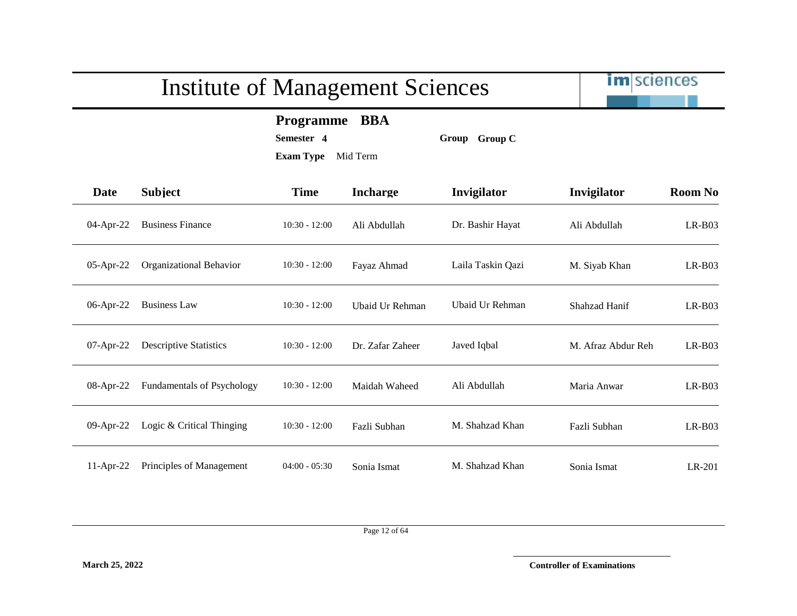im sciences

**Programme BBA**

**Semester 4 Group Group C**

| m |  |  |  |
|---|--|--|--|

| <b>Date</b> | <b>Subject</b>                | <b>Time</b>     | <b>Incharge</b>  | Invigilator       | Invigilator        | <b>Room No</b> |
|-------------|-------------------------------|-----------------|------------------|-------------------|--------------------|----------------|
| 04-Apr-22   | <b>Business Finance</b>       | $10:30 - 12:00$ | Ali Abdullah     | Dr. Bashir Hayat  | Ali Abdullah       | $LR-B03$       |
| 05-Apr-22   | Organizational Behavior       | $10:30 - 12:00$ | Fayaz Ahmad      | Laila Taskin Qazi | M. Siyab Khan      | $LR-B03$       |
| 06-Apr-22   | <b>Business Law</b>           | $10:30 - 12:00$ | Ubaid Ur Rehman  | Ubaid Ur Rehman   | Shahzad Hanif      | $LR-B03$       |
| 07-Apr-22   | <b>Descriptive Statistics</b> | $10:30 - 12:00$ | Dr. Zafar Zaheer | Javed Iqbal       | M. Afraz Abdur Reh | $LR-B03$       |
| 08-Apr-22   | Fundamentals of Psychology    | $10:30 - 12:00$ | Maidah Waheed    | Ali Abdullah      | Maria Anwar        | $LR-B03$       |
| 09-Apr-22   | Logic & Critical Thinging     | $10:30 - 12:00$ | Fazli Subhan     | M. Shahzad Khan   | Fazli Subhan       | $LR-B03$       |
| $11-Apr-22$ | Principles of Management      | $04:00 - 05:30$ | Sonia Ismat      | M. Shahzad Khan   | Sonia Ismat        | LR-201         |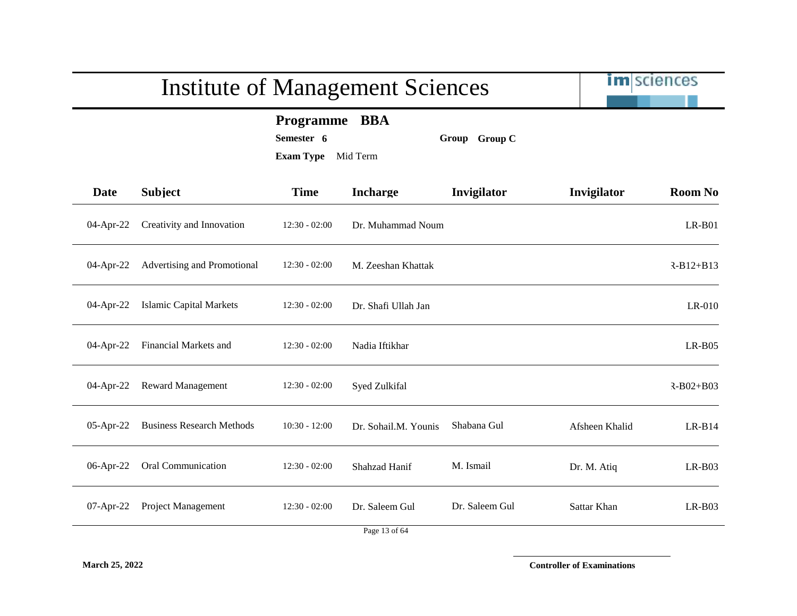|             |                                  | <b>Institute of Management Sciences</b>            |                        |                | <b>im</b> sciences |                |
|-------------|----------------------------------|----------------------------------------------------|------------------------|----------------|--------------------|----------------|
|             |                                  | <b>Programme</b><br>Semester 6<br><b>Exam Type</b> | <b>BBA</b><br>Mid Term | Group Group C  |                    |                |
| <b>Date</b> | <b>Subject</b>                   | <b>Time</b>                                        | <b>Incharge</b>        | Invigilator    | Invigilator        | <b>Room No</b> |
| 04-Apr-22   | Creativity and Innovation        | $12:30 - 02:00$                                    | Dr. Muhammad Noum      |                |                    | $LR-B01$       |
| 04-Apr-22   | Advertising and Promotional      | $12:30 - 02:00$                                    | M. Zeeshan Khattak     |                |                    | $R-B12+B13$    |
| 04-Apr-22   | <b>Islamic Capital Markets</b>   | $12:30 - 02:00$                                    | Dr. Shafi Ullah Jan    |                |                    | $LR-010$       |
| 04-Apr-22   | Financial Markets and            | $12:30 - 02:00$                                    | Nadia Iftikhar         |                |                    | $LR-B05$       |
| 04-Apr-22   | <b>Reward Management</b>         | $12:30 - 02:00$                                    | Syed Zulkifal          |                |                    | $R-B02+B03$    |
| 05-Apr-22   | <b>Business Research Methods</b> | $10:30 - 12:00$                                    | Dr. Sohail.M. Younis   | Shabana Gul    | Afsheen Khalid     | $LR-B14$       |
| 06-Apr-22   | Oral Communication               | $12:30 - 02:00$                                    | Shahzad Hanif          | M. Ismail      | Dr. M. Atiq        | $LR-B03$       |
| 07-Apr-22   | Project Management               | $12:30 - 02:00$                                    | Dr. Saleem Gul         | Dr. Saleem Gul | Sattar Khan        | $LR-B03$       |
|             |                                  |                                                    | Page 13 of 64          |                |                    |                |

**March 25, 2022 Controller of Examinations**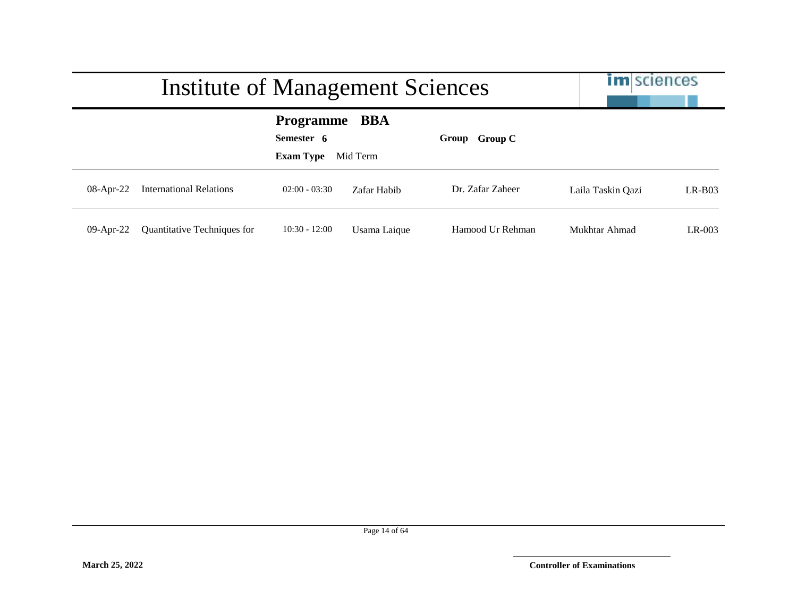|              | Institute of Management Sciences | <b>im</b> sciences                                     |              |                  |                   |          |
|--------------|----------------------------------|--------------------------------------------------------|--------------|------------------|-------------------|----------|
|              |                                  | <b>Programme BBA</b><br>Semester 6<br><b>Exam Type</b> | Mid Term     | Group Group C    |                   |          |
| $08-Apr-22$  | <b>International Relations</b>   | $02:00 - 03:30$                                        | Zafar Habib  | Dr. Zafar Zaheer | Laila Taskin Oazi | $LR-B03$ |
| $09$ -Apr-22 | Quantitative Techniques for      | $10:30 - 12:00$                                        | Usama Laique | Hamood Ur Rehman | Mukhtar Ahmad     | $LR-003$ |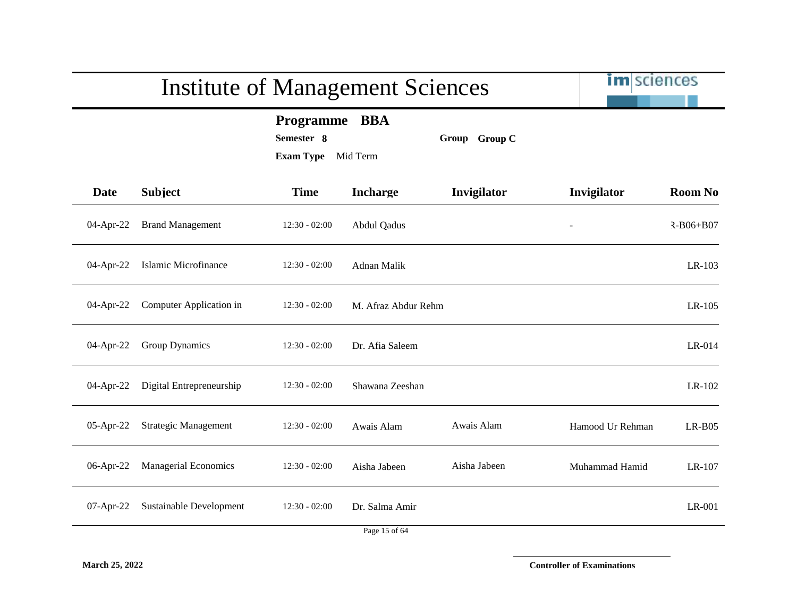|             |                                   | <b>Institute of Management Sciences</b>                     |                     |               | <b>im</b> sciences |                 |
|-------------|-----------------------------------|-------------------------------------------------------------|---------------------|---------------|--------------------|-----------------|
|             |                                   | <b>Programme</b><br>Semester 8<br><b>Exam Type</b> Mid Term | <b>BBA</b>          | Group Group C |                    |                 |
| <b>Date</b> | <b>Subject</b>                    | <b>Time</b>                                                 | <b>Incharge</b>     | Invigilator   | Invigilator        | <b>Room No</b>  |
| 04-Apr-22   | <b>Brand Management</b>           | $12:30 - 02:00$                                             | Abdul Qadus         |               |                    | $R - B06 + B07$ |
| 04-Apr-22   | Islamic Microfinance              | $12:30 - 02:00$                                             | Adnan Malik         |               |                    | LR-103          |
|             | 04-Apr-22 Computer Application in | $12:30 - 02:00$                                             | M. Afraz Abdur Rehm |               |                    | $LR-105$        |
| 04-Apr-22   | <b>Group Dynamics</b>             | $12:30 - 02:00$                                             | Dr. Afia Saleem     |               |                    | LR-014          |
| 04-Apr-22   | Digital Entrepreneurship          | $12:30 - 02:00$                                             | Shawana Zeeshan     |               |                    | LR-102          |
| 05-Apr-22   | <b>Strategic Management</b>       | $12:30 - 02:00$                                             | Awais Alam          | Awais Alam    | Hamood Ur Rehman   | $LR-B05$        |
| 06-Apr-22   | <b>Managerial Economics</b>       | $12:30 - 02:00$                                             | Aisha Jabeen        | Aisha Jabeen  | Muhammad Hamid     | LR-107          |
| 07-Apr-22   | Sustainable Development           | $12:30 - 02:00$                                             | Dr. Salma Amir      |               |                    | LR-001          |
|             |                                   |                                                             | Page 15 of 64       |               |                    |                 |

**March 25, 2022 Controller of Examinations**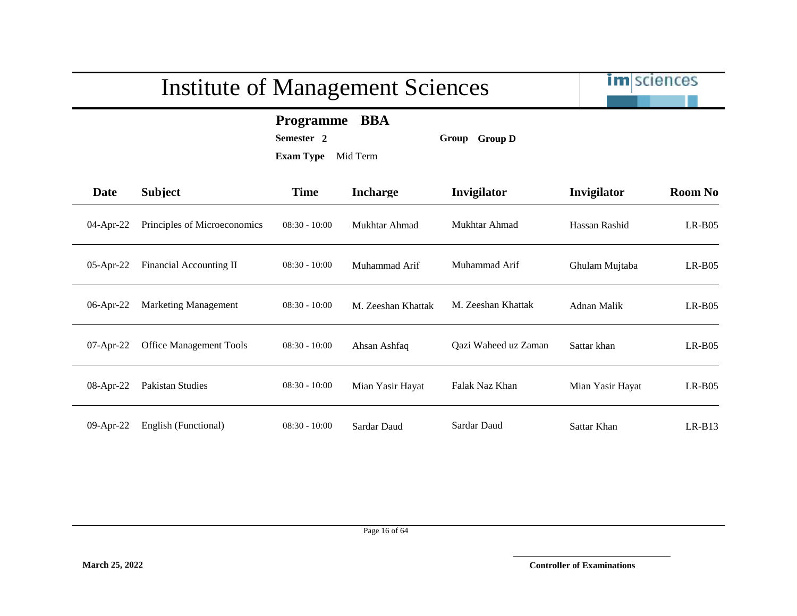

**Programme BBA**

**Semester 2 Group Group D**

| <b>Date</b> | <b>Subject</b>                 | <b>Time</b>     | <b>Incharge</b>    | Invigilator          | Invigilator      | <b>Room No</b> |
|-------------|--------------------------------|-----------------|--------------------|----------------------|------------------|----------------|
| 04-Apr-22   | Principles of Microeconomics   | $08:30 - 10:00$ | Mukhtar Ahmad      | Mukhtar Ahmad        | Hassan Rashid    | $LR-B05$       |
| 05-Apr-22   | <b>Financial Accounting II</b> | $08:30 - 10:00$ | Muhammad Arif      | Muhammad Arif        | Ghulam Mujtaba   | $LR-B05$       |
| 06-Apr-22   | <b>Marketing Management</b>    | $08:30 - 10:00$ | M. Zeeshan Khattak | M. Zeeshan Khattak   | Adnan Malik      | $LR-B05$       |
| 07-Apr-22   | <b>Office Management Tools</b> | $08:30 - 10:00$ | Ahsan Ashfaq       | Qazi Waheed uz Zaman | Sattar khan      | $LR-B05$       |
| 08-Apr-22   | Pakistan Studies               | $08:30 - 10:00$ | Mian Yasir Hayat   | Falak Naz Khan       | Mian Yasir Hayat | $LR-B05$       |
| 09-Apr-22   | English (Functional)           | $08:30 - 10:00$ | Sardar Daud        | Sardar Daud          | Sattar Khan      | $LR-B13$       |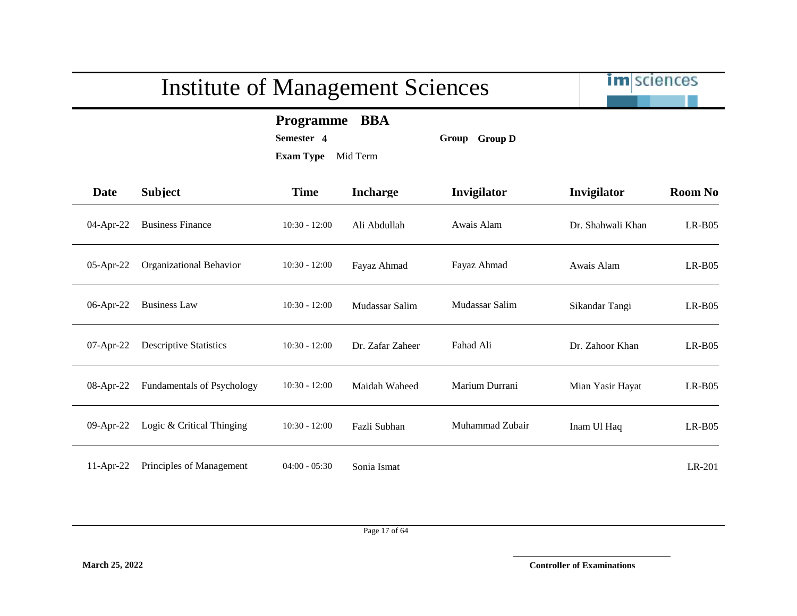im sciences

**Programme BBA**

**Semester 4 Group Group D**

| <b>Date</b> | <b>Subject</b>                | <b>Time</b>     | <b>Incharge</b>  | <b>Invigilator</b> | Invigilator       | <b>Room No</b> |
|-------------|-------------------------------|-----------------|------------------|--------------------|-------------------|----------------|
| 04-Apr-22   | <b>Business Finance</b>       | $10:30 - 12:00$ | Ali Abdullah     | Awais Alam         | Dr. Shahwali Khan | $LR-B05$       |
| 05-Apr-22   | Organizational Behavior       | $10:30 - 12:00$ | Fayaz Ahmad      | Fayaz Ahmad        | Awais Alam        | $LR-B05$       |
| 06-Apr-22   | <b>Business Law</b>           | $10:30 - 12:00$ | Mudassar Salim   | Mudassar Salim     | Sikandar Tangi    | $LR-B05$       |
| 07-Apr-22   | <b>Descriptive Statistics</b> | $10:30 - 12:00$ | Dr. Zafar Zaheer | Fahad Ali          | Dr. Zahoor Khan   | $LR-B05$       |
| 08-Apr-22   | Fundamentals of Psychology    | $10:30 - 12:00$ | Maidah Waheed    | Marium Durrani     | Mian Yasir Hayat  | $LR-B05$       |
| 09-Apr-22   | Logic & Critical Thinging     | $10:30 - 12:00$ | Fazli Subhan     | Muhammad Zubair    | Inam Ul Haq       | $LR-B05$       |
| 11-Apr-22   | Principles of Management      | $04:00 - 05:30$ | Sonia Ismat      |                    |                   | LR-201         |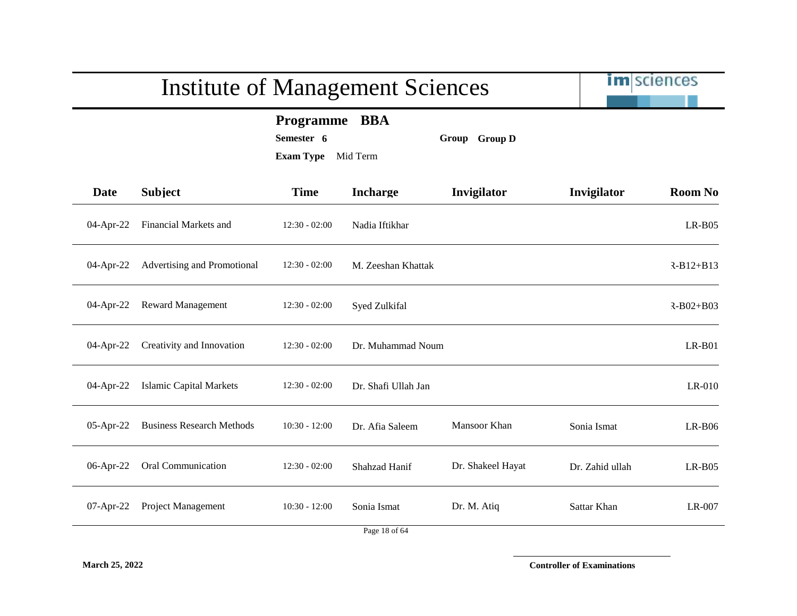|              | <b>Institute of Management Sciences</b> | im sciences                                       |                     |                   |                 |                 |
|--------------|-----------------------------------------|---------------------------------------------------|---------------------|-------------------|-----------------|-----------------|
|              |                                         | Programme BBA<br>Semester 6<br>Exam Type Mid Term |                     | Group Group D     |                 |                 |
| <b>Date</b>  | <b>Subject</b>                          | <b>Time</b>                                       | <b>Incharge</b>     | Invigilator       | Invigilator     | <b>Room No</b>  |
| 04-Apr-22    | Financial Markets and                   | $12:30 - 02:00$                                   | Nadia Iftikhar      |                   |                 | $LR-B05$        |
| 04-Apr-22    | Advertising and Promotional             | $12:30 - 02:00$                                   | M. Zeeshan Khattak  |                   |                 | $R-B12+B13$     |
| $04$ -Apr-22 | <b>Reward Management</b>                | $12:30 - 02:00$                                   | Syed Zulkifal       |                   |                 | $R - B02 + B03$ |
| 04-Apr-22    | Creativity and Innovation               | $12:30 - 02:00$                                   | Dr. Muhammad Noum   |                   |                 | $LR-B01$        |
| 04-Apr-22    | <b>Islamic Capital Markets</b>          | $12:30 - 02:00$                                   | Dr. Shafi Ullah Jan |                   |                 | LR-010          |
| $05$ -Apr-22 | <b>Business Research Methods</b>        | $10:30 - 12:00$                                   | Dr. Afia Saleem     | Mansoor Khan      | Sonia Ismat     | $LR-B06$        |
| 06-Apr-22    | Oral Communication                      | $12:30 - 02:00$                                   | Shahzad Hanif       | Dr. Shakeel Hayat | Dr. Zahid ullah | $LR-B05$        |
|              | 07-Apr-22 Project Management            | $10:30 - 12:00$                                   | Sonia Ismat         | Dr. M. Atiq       | Sattar Khan     | LR-007          |
|              |                                         |                                                   | Page 18 of 64       |                   |                 |                 |

**March 25, 2022 Controller of Examinations**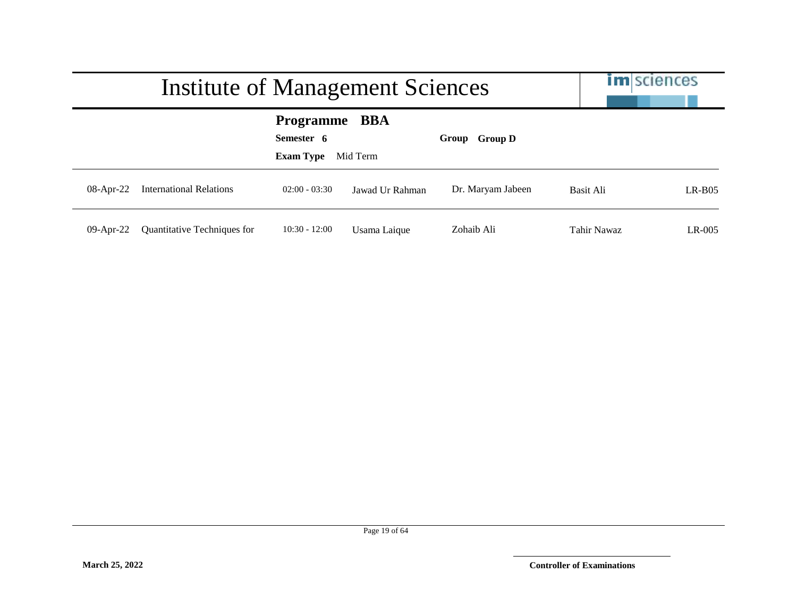|              | Institute of Management Sciences   | <b>im</b> sciences                                     |                 |                   |             |          |
|--------------|------------------------------------|--------------------------------------------------------|-----------------|-------------------|-------------|----------|
|              |                                    | <b>Programme BBA</b><br>Semester 6<br><b>Exam Type</b> | Mid Term        | Group Group D     |             |          |
| $08-Apr-22$  | <b>International Relations</b>     | $02:00 - 03:30$                                        | Jawad Ur Rahman | Dr. Maryam Jabeen | Basit Ali   | $LR-BO5$ |
| $09$ -Apr-22 | <b>Quantitative Techniques for</b> | $10:30 - 12:00$                                        | Usama Laique    | Zohaib Ali        | Tahir Nawaz | $LR-005$ |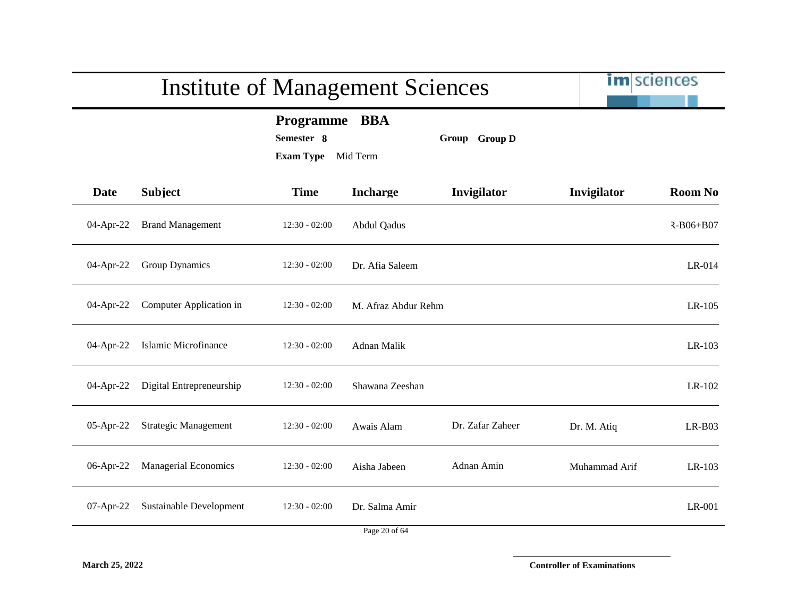|             |                             | <b>Institute of Management Sciences</b>            |                        |                  | <b>im</b> sciences |                 |
|-------------|-----------------------------|----------------------------------------------------|------------------------|------------------|--------------------|-----------------|
|             |                             | <b>Programme</b><br>Semester 8<br><b>Exam Type</b> | <b>BBA</b><br>Mid Term | Group Group D    |                    |                 |
| <b>Date</b> | <b>Subject</b>              | <b>Time</b>                                        | <b>Incharge</b>        | Invigilator      | Invigilator        | <b>Room No</b>  |
| 04-Apr-22   | <b>Brand Management</b>     | $12:30 - 02:00$                                    | <b>Abdul Qadus</b>     |                  |                    | $R - B06 + B07$ |
| 04-Apr-22   | Group Dynamics              | $12:30 - 02:00$                                    | Dr. Afia Saleem        |                  |                    | LR-014          |
| 04-Apr-22   | Computer Application in     | $12:30 - 02:00$                                    | M. Afraz Abdur Rehm    |                  |                    | LR-105          |
| 04-Apr-22   | Islamic Microfinance        | $12:30 - 02:00$                                    | Adnan Malik            |                  |                    | LR-103          |
| 04-Apr-22   | Digital Entrepreneurship    | $12:30 - 02:00$                                    | Shawana Zeeshan        |                  |                    | LR-102          |
| 05-Apr-22   | <b>Strategic Management</b> | $12:30 - 02:00$                                    | Awais Alam             | Dr. Zafar Zaheer | Dr. M. Atiq        | $LR-B03$        |
| 06-Apr-22   | <b>Managerial Economics</b> | $12:30 - 02:00$                                    | Aisha Jabeen           | Adnan Amin       | Muhammad Arif      | LR-103          |
| 07-Apr-22   | Sustainable Development     | $12:30 - 02:00$                                    | Dr. Salma Amir         |                  |                    | LR-001          |
|             |                             |                                                    | Page 20 of 64          |                  |                    |                 |

**March 25, 2022 Controller of Examinations**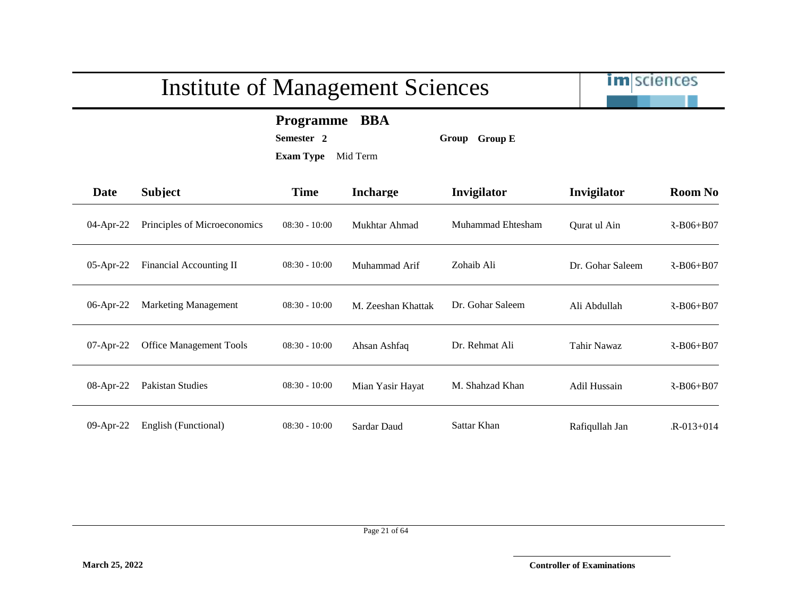

**Programme BBA**

**Semester 2 Group Group E**

**Exam Type** Mid Term

| Date         | <b>Subject</b>                 | <b>Time</b>     | <b>Incharge</b>    | Invigilator       | Invigilator        | <b>Room No</b>  |
|--------------|--------------------------------|-----------------|--------------------|-------------------|--------------------|-----------------|
| 04-Apr-22    | Principles of Microeconomics   | $08:30 - 10:00$ | Mukhtar Ahmad      | Muhammad Ehtesham | Ourat ul Ain       | $R - B06 + B07$ |
| $05$ -Apr-22 | Financial Accounting II        | $08:30 - 10:00$ | Muhammad Arif      | Zohaib Ali        | Dr. Gohar Saleem   | $R - B06 + B07$ |
| $06$ -Apr-22 | <b>Marketing Management</b>    | $08:30 - 10:00$ | M. Zeeshan Khattak | Dr. Gohar Saleem  | Ali Abdullah       | $R - B06 + B07$ |
| $07$ -Apr-22 | <b>Office Management Tools</b> | $08:30 - 10:00$ | Ahsan Ashfaq       | Dr. Rehmat Ali    | <b>Tahir Nawaz</b> | $R - B06 + B07$ |
| 08-Apr-22    | <b>Pakistan Studies</b>        | $08:30 - 10:00$ | Mian Yasir Hayat   | M. Shahzad Khan   | Adil Hussain       | $R - B06 + B07$ |

Page 21 of 64

09-Apr-22 English (Functional) 08:30 - 10:00 Sardar Daud Sattar Khan Rafiqullah Jan R-013+014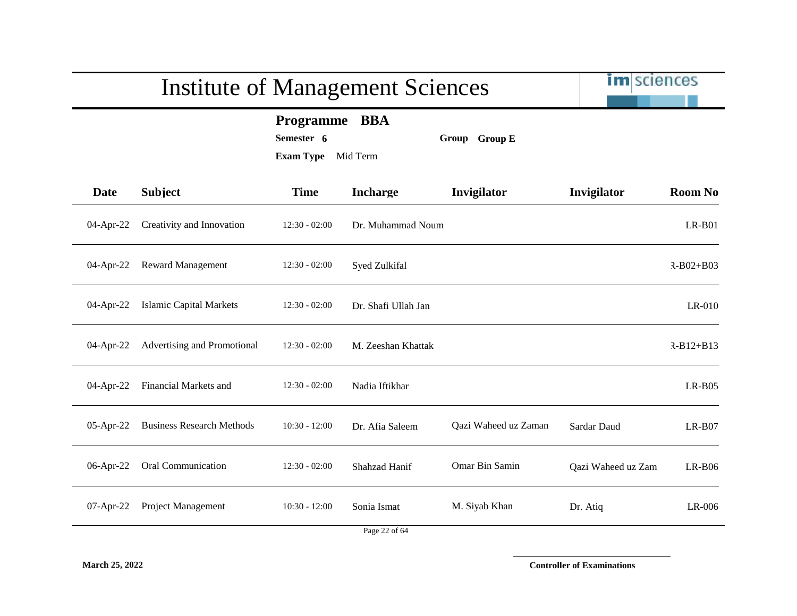|              |                                  | <b>Institute of Management Sciences</b>            |                        |                      | <b>im</b> sciences |                 |
|--------------|----------------------------------|----------------------------------------------------|------------------------|----------------------|--------------------|-----------------|
|              |                                  | <b>Programme</b><br>Semester 6<br><b>Exam Type</b> | <b>BBA</b><br>Mid Term | Group Group E        |                    |                 |
| <b>Date</b>  | <b>Subject</b>                   | <b>Time</b>                                        | <b>Incharge</b>        | Invigilator          | Invigilator        | <b>Room No</b>  |
| 04-Apr-22    | Creativity and Innovation        | $12:30 - 02:00$                                    | Dr. Muhammad Noum      |                      |                    | $LR-B01$        |
| 04-Apr-22    | <b>Reward Management</b>         | $12:30 - 02:00$                                    | Syed Zulkifal          |                      |                    | $R - B02 + B03$ |
| $04$ -Apr-22 | <b>Islamic Capital Markets</b>   | $12:30 - 02:00$                                    | Dr. Shafi Ullah Jan    |                      |                    | $LR-010$        |
| $04$ -Apr-22 | Advertising and Promotional      | $12:30 - 02:00$                                    | M. Zeeshan Khattak     |                      |                    | $R-B12+B13$     |
| $04$ -Apr-22 | Financial Markets and            | $12:30 - 02:00$                                    | Nadia Iftikhar         |                      |                    | $LR-B05$        |
| $05$ -Apr-22 | <b>Business Research Methods</b> | $10:30 - 12:00$                                    | Dr. Afia Saleem        | Qazi Waheed uz Zaman | Sardar Daud        | $LR-B07$        |
| 06-Apr-22    | Oral Communication               | $12:30 - 02:00$                                    | Shahzad Hanif          | Omar Bin Samin       | Qazi Waheed uz Zam | $LR-B06$        |
| $07$ -Apr-22 | Project Management               | $10:30 - 12:00$                                    | Sonia Ismat            | M. Siyab Khan        | Dr. Atiq           | LR-006          |
|              |                                  |                                                    | Page 22 of 64          |                      |                    |                 |

**March 25, 2022 Controller of Examinations**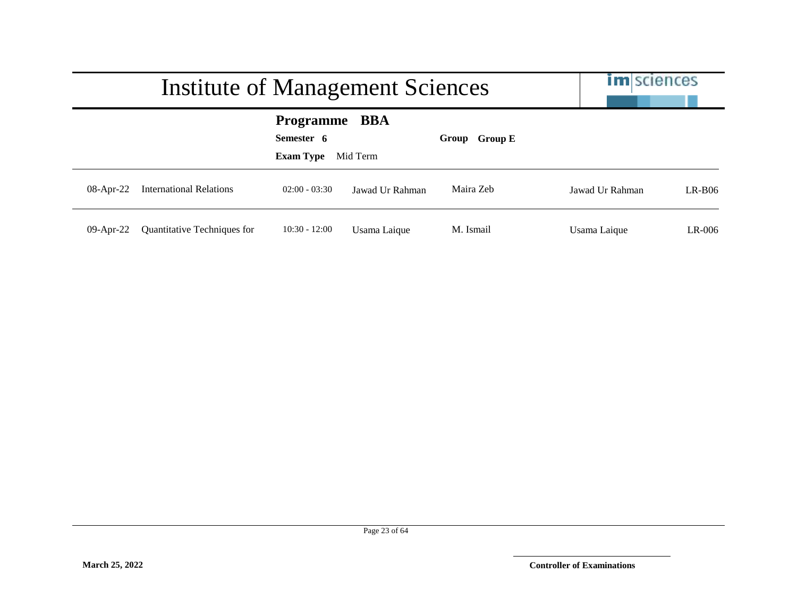|              | Institute of Management Sciences |                                                    |                        |               | <b>im</b> sciences |          |
|--------------|----------------------------------|----------------------------------------------------|------------------------|---------------|--------------------|----------|
|              |                                  | <b>Programme</b><br>Semester 6<br><b>Exam Type</b> | <b>BBA</b><br>Mid Term | Group Group E |                    |          |
| $08$ -Apr-22 | <b>International Relations</b>   | $02:00 - 03:30$                                    | Jawad Ur Rahman        | Maira Zeb     | Jawad Ur Rahman    | $LR-BO6$ |
| $09$ -Apr-22 | Quantitative Techniques for      | $10:30 - 12:00$                                    | Usama Laique           | M. Ismail     | Usama Laique       | $LR-006$ |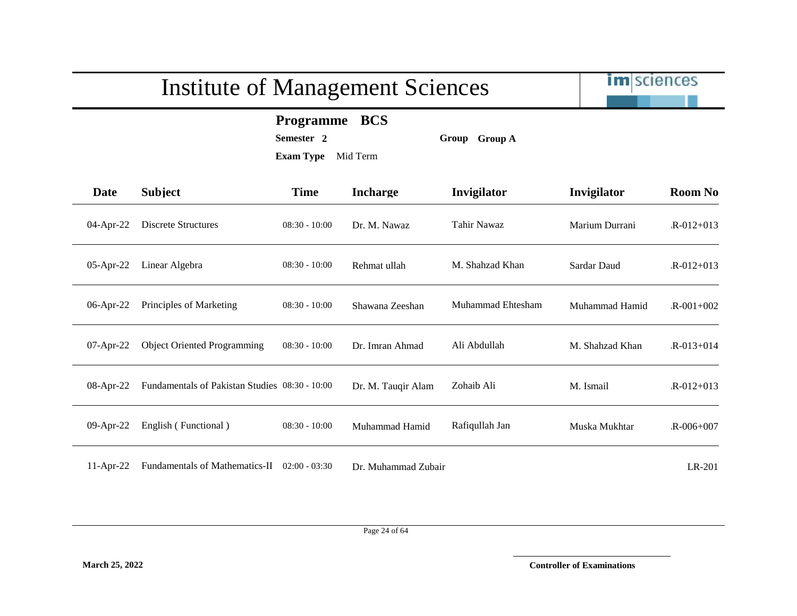

**Programme BCS**

**Semester 2 Group Group A**

**Exam Type** Mid Term

| <b>Date</b>  | <b>Subject</b>                                 | <b>Time</b>     | <b>Incharge</b>     | <b>Invigilator</b> | Invigilator     | <b>Room No</b>  |
|--------------|------------------------------------------------|-----------------|---------------------|--------------------|-----------------|-----------------|
| 04-Apr-22    | Discrete Structures                            | $08:30 - 10:00$ | Dr. M. Nawaz        | Tahir Nawaz        | Marium Durrani  | $R - 012 + 013$ |
| $05$ -Apr-22 | Linear Algebra                                 | $08:30 - 10:00$ | Rehmat ullah        | M. Shahzad Khan    | Sardar Daud     | $R - 012 + 013$ |
| 06-Apr-22    | Principles of Marketing                        | $08:30 - 10:00$ | Shawana Zeeshan     | Muhammad Ehtesham  | Muhammad Hamid  | $R - 001 + 002$ |
| 07-Apr-22    | <b>Object Oriented Programming</b>             | $08:30 - 10:00$ | Dr. Imran Ahmad     | Ali Abdullah       | M. Shahzad Khan | $R - 013 + 014$ |
| $08$ -Apr-22 | Fundamentals of Pakistan Studies 08:30 - 10:00 |                 | Dr. M. Tauqir Alam  | Zohaib Ali         | M. Ismail       | $R - 012 + 013$ |
| 09-Apr-22    | English (Functional)                           | $08:30 - 10:00$ | Muhammad Hamid      | Rafiqullah Jan     | Muska Mukhtar   | $R - 006 + 007$ |
| $11-Apr-22$  | <b>Fundamentals of Mathematics-II</b>          | $02:00 - 03:30$ | Dr. Muhammad Zubair |                    |                 | LR-201          |

Page 24 of 64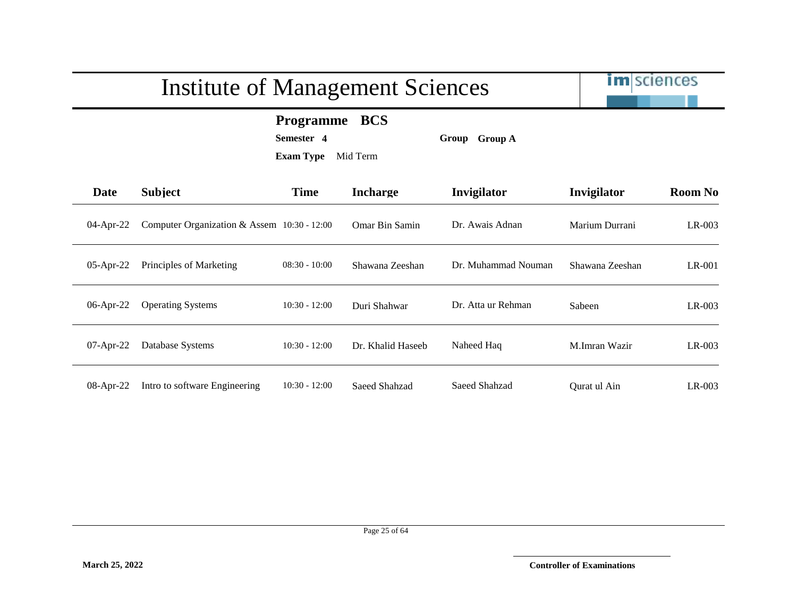im sciences

#### **Programme BCS**

**Semester 4 Group Group A**

| Date         | <b>Subject</b>                                | <b>Time</b>     | <b>Incharge</b>       | <b>Invigilator</b>  | Invigilator     | <b>Room No</b> |
|--------------|-----------------------------------------------|-----------------|-----------------------|---------------------|-----------------|----------------|
| 04-Apr-22    | Computer Organization & Assem $10:30 - 12:00$ |                 | <b>Omar Bin Samin</b> | Dr. Awais Adnan     | Marium Durrani  | $LR-003$       |
| $05$ -Apr-22 | Principles of Marketing                       | $08:30 - 10:00$ | Shawana Zeeshan       | Dr. Muhammad Nouman | Shawana Zeeshan | $LR-001$       |
| 06-Apr-22    | <b>Operating Systems</b>                      | $10:30 - 12:00$ | Duri Shahwar          | Dr. Atta ur Rehman  | Sabeen          | $LR-003$       |
| $07$ -Apr-22 | Database Systems                              | $10:30 - 12:00$ | Dr. Khalid Haseeb     | Naheed Haq          | M.Imran Wazir   | $LR-003$       |
| 08-Apr-22    | Intro to software Engineering                 | $10:30 - 12:00$ | Saeed Shahzad         | Saeed Shahzad       | Ourat ul Ain    | $LR-003$       |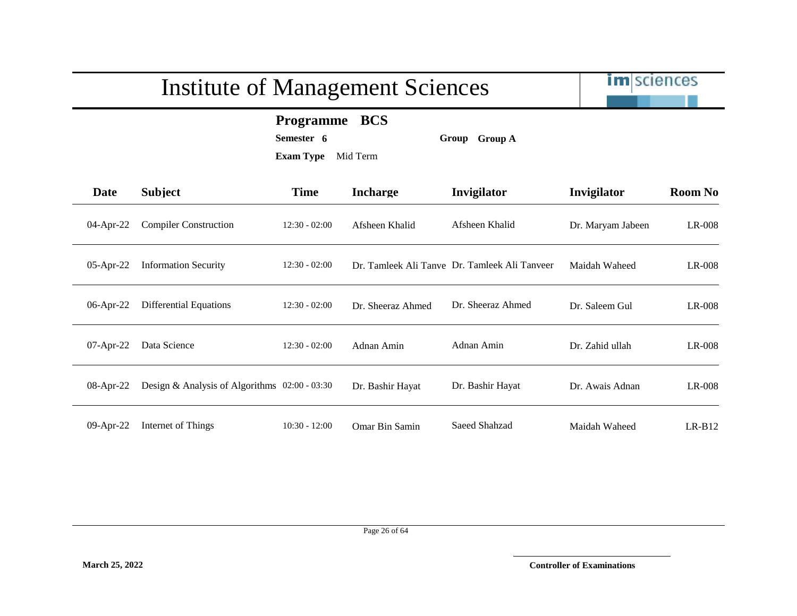|              | <b>Institute of Management Sciences</b>       |                                                             |                   |                                               | <b>im</b> sciences |                |
|--------------|-----------------------------------------------|-------------------------------------------------------------|-------------------|-----------------------------------------------|--------------------|----------------|
|              |                                               | <b>Programme</b><br>Semester 6<br><b>Exam Type</b> Mid Term | <b>BCS</b>        | Group Group A                                 |                    |                |
| <b>Date</b>  | <b>Subject</b>                                | <b>Time</b>                                                 | <b>Incharge</b>   | Invigilator                                   | Invigilator        | <b>Room No</b> |
| 04-Apr-22    | <b>Compiler Construction</b>                  | $12:30 - 02:00$                                             | Afsheen Khalid    | Afsheen Khalid                                | Dr. Maryam Jabeen  | LR-008         |
| 05-Apr-22    | <b>Information Security</b>                   | $12:30 - 02:00$                                             |                   | Dr. Tamleek Ali Tanve Dr. Tamleek Ali Tanveer | Maidah Waheed      | LR-008         |
| 06-Apr-22    | <b>Differential Equations</b>                 | $12:30 - 02:00$                                             | Dr. Sheeraz Ahmed | Dr. Sheeraz Ahmed                             | Dr. Saleem Gul     | LR-008         |
| $07$ -Apr-22 | Data Science                                  | $12:30 - 02:00$                                             | Adnan Amin        | Adnan Amin                                    | Dr. Zahid ullah    | LR-008         |
| $08$ -Apr-22 | Design & Analysis of Algorithms 02:00 - 03:30 |                                                             | Dr. Bashir Hayat  | Dr. Bashir Hayat                              | Dr. Awais Adnan    | LR-008         |
| $09$ -Apr-22 | Internet of Things                            | $10:30 - 12:00$                                             | Omar Bin Samin    | Saeed Shahzad                                 | Maidah Waheed      | $LR-B12$       |

Page 26 of 64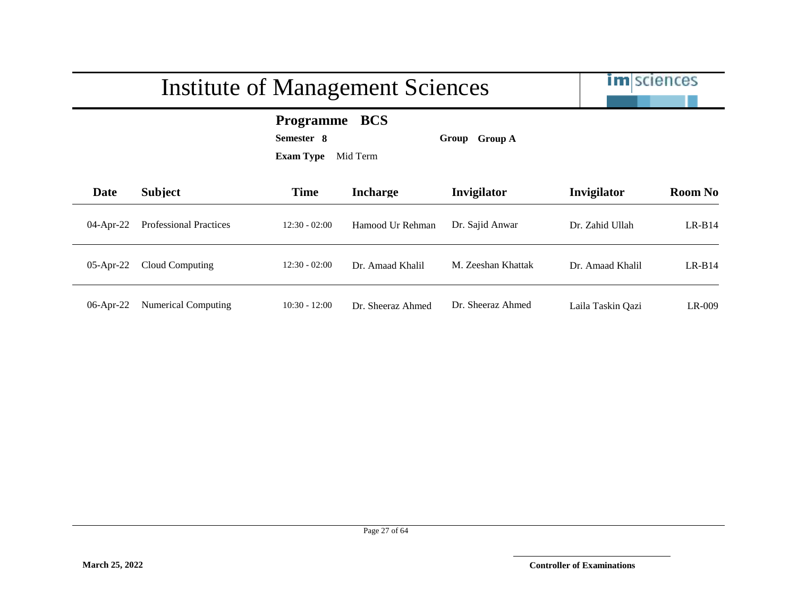im sciences

#### **Programme BCS**

**Semester 8 Group Group A**

| Date         | <b>Subject</b>                | <b>Time</b>     | <b>Incharge</b>   | <b>Invigilator</b> | Invigilator       | <b>Room No</b> |
|--------------|-------------------------------|-----------------|-------------------|--------------------|-------------------|----------------|
| $04$ -Apr-22 | <b>Professional Practices</b> | $12:30 - 02:00$ | Hamood Ur Rehman  | Dr. Sajid Anwar    | Dr. Zahid Ullah   | $LR-B14$       |
| $05$ -Apr-22 | Cloud Computing               | $12:30 - 02:00$ | Dr. Amaad Khalil  | M. Zeeshan Khattak | Dr. Amaad Khalil  | $LR-B14$       |
| $06$ -Apr-22 | <b>Numerical Computing</b>    | $10:30 - 12:00$ | Dr. Sheeraz Ahmed | Dr. Sheeraz Ahmed  | Laila Taskin Qazi | LR-009         |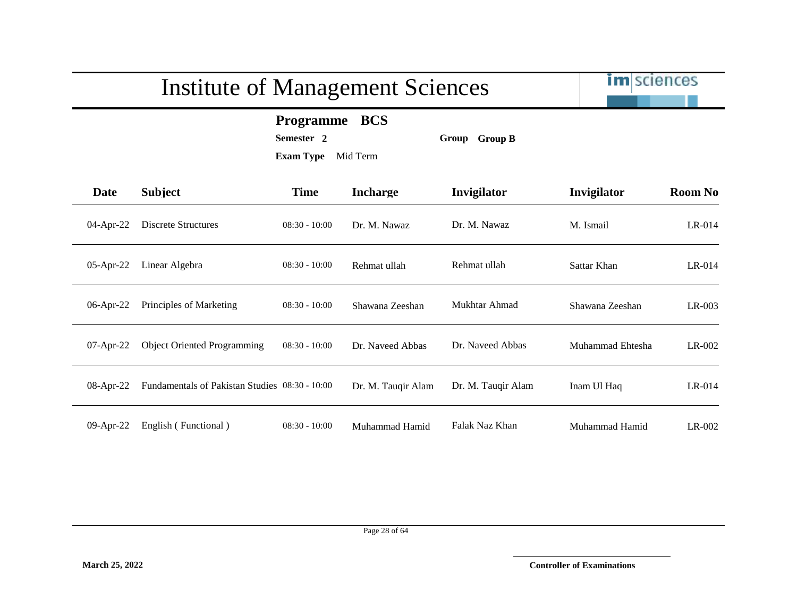im sciences

**Programme BCS**

**Semester 2 Group Group B**

| Date         | <b>Subject</b>                                 | <b>Time</b>     | <b>Incharge</b>    | Invigilator        | Invigilator      | <b>Room No</b> |
|--------------|------------------------------------------------|-----------------|--------------------|--------------------|------------------|----------------|
| $04$ -Apr-22 | Discrete Structures                            | $08:30 - 10:00$ | Dr. M. Nawaz       | Dr. M. Nawaz       | M. Ismail        | $LR-014$       |
| 05-Apr-22    | Linear Algebra                                 | $08:30 - 10:00$ | Rehmat ullah       | Rehmat ullah       | Sattar Khan      | $LR-014$       |
| 06-Apr-22    | Principles of Marketing                        | $08:30 - 10:00$ | Shawana Zeeshan    | Mukhtar Ahmad      | Shawana Zeeshan  | LR-003         |
| 07-Apr-22    | <b>Object Oriented Programming</b>             | $08:30 - 10:00$ | Dr. Naveed Abbas   | Dr. Naveed Abbas   | Muhammad Ehtesha | $LR-002$       |
| 08-Apr-22    | Fundamentals of Pakistan Studies 08:30 - 10:00 |                 | Dr. M. Tauqir Alam | Dr. M. Tauqir Alam | Inam Ul Haq      | $LR-014$       |
| 09-Apr-22    | English (Functional)                           | $08:30 - 10:00$ | Muhammad Hamid     | Falak Naz Khan     | Muhammad Hamid   | LR-002         |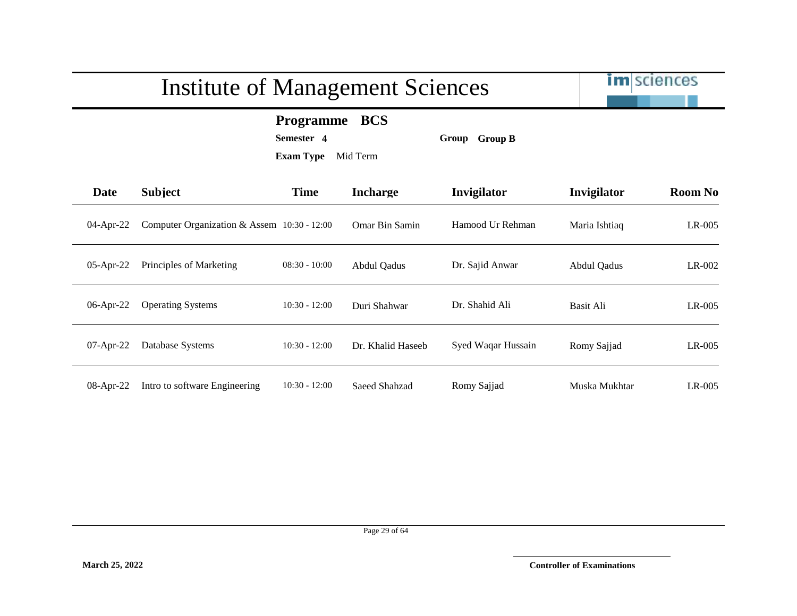im sciences

#### **Programme BCS**

**Semester 4 Group Group B**

| Date         | <b>Subject</b>                              | <b>Time</b>     | <b>Incharge</b>       | Invigilator        | Invigilator   | <b>Room No</b> |
|--------------|---------------------------------------------|-----------------|-----------------------|--------------------|---------------|----------------|
| 04-Apr-22    | Computer Organization & Assem 10:30 - 12:00 |                 | <b>Omar Bin Samin</b> | Hamood Ur Rehman   | Maria Ishtiaq | $LR-005$       |
| 05-Apr-22    | Principles of Marketing                     | $08:30 - 10:00$ | Abdul Qadus           | Dr. Sajid Anwar    | Abdul Qadus   | LR-002         |
| 06-Apr-22    | <b>Operating Systems</b>                    | $10:30 - 12:00$ | Duri Shahwar          | Dr. Shahid Ali     | Basit Ali     | $LR-005$       |
| $07$ -Apr-22 | Database Systems                            | $10:30 - 12:00$ | Dr. Khalid Haseeb     | Syed Waqar Hussain | Romy Sajjad   | $LR-005$       |
| 08-Apr-22    | Intro to software Engineering               | $10:30 - 12:00$ | Saeed Shahzad         | Romy Sajjad        | Muska Mukhtar | LR-005         |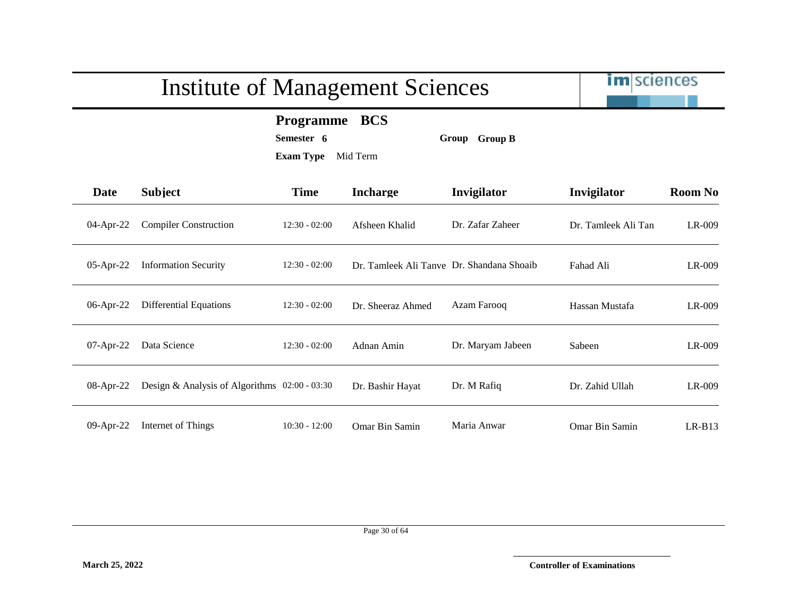# im sciences Institute of Management Sciences **Programme BCS Semester 6 Group Group B Exam Type** Mid Term **Date Subject Time Incharge Invigilator Invigilator Room No** 04-Apr-22 Compiler Construction 12:30 - 02:00 Afsheen Khalid Dr. Zafar Zaheer Dr. Tamleek Ali Tan LR-009 05-Apr-22 Information Security 12:30 - 02:00 Dr. Tamleek Ali Tanve Dr. Shandana Shoaib Fahad Ali LR-009 06-Apr-22 Differential Equations 12:30 - 02:00 Dr. Sheeraz Ahmed Azam Farooq Hassan Mustafa LR-009 07-Apr-22 Data Science 12:30 - 02:00 Adnan Amin Dr. Maryam Jabeen Sabeen LR-009 08-Apr-22 Design & Analysis of Algorithms 02:00 - 03:30 Dr. Bashir Hayat Dr. M Rafiq Dr. Zahid Ullah LR-009 09-Apr-22 Internet of Things 10:30 - 12:00 Omar Bin Samin Maria Anwar Omar Bin Samin LR-B13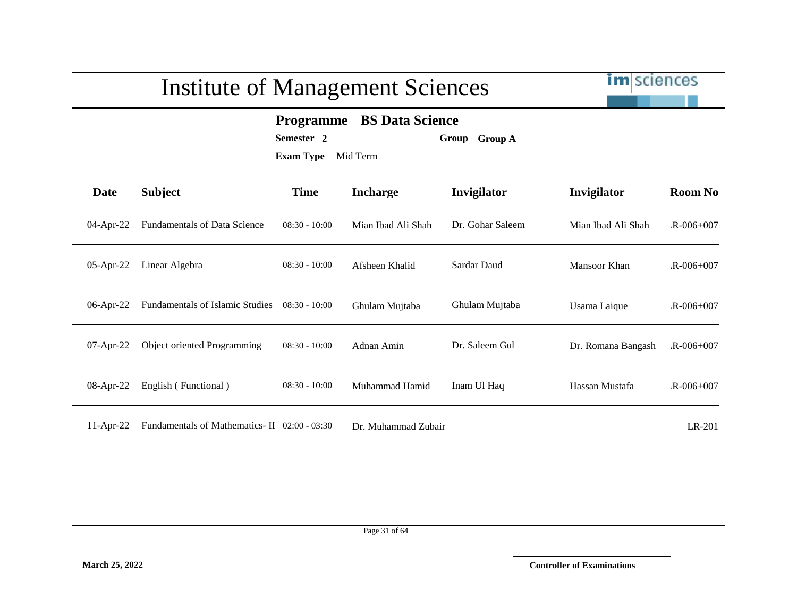

#### **Programme BS Data Science**

**Semester 2 Group Group A**

**Exam Type** Mid Term

| <b>Date</b>  | <b>Subject</b>                         | <b>Time</b>     | <b>Incharge</b>    | Invigilator      | Invigilator        | <b>Room No</b>  |
|--------------|----------------------------------------|-----------------|--------------------|------------------|--------------------|-----------------|
| $04$ -Apr-22 | <b>Fundamentals of Data Science</b>    | $08:30 - 10:00$ | Mian Ibad Ali Shah | Dr. Gohar Saleem | Mian Ibad Ali Shah | $R - 006 + 007$ |
| $05$ -Apr-22 | Linear Algebra                         | $08:30 - 10:00$ | Afsheen Khalid     | Sardar Daud      | Mansoor Khan       | $R - 006 + 007$ |
| $06$ -Apr-22 | <b>Fundamentals of Islamic Studies</b> | $08:30 - 10:00$ | Ghulam Mujtaba     | Ghulam Mujtaba   | Usama Laique       | $R - 006 + 007$ |
| $07$ -Apr-22 | <b>Object oriented Programming</b>     | $08:30 - 10:00$ | Adnan Amin         | Dr. Saleem Gul   | Dr. Romana Bangash | $R - 006 + 007$ |
| $08$ -Apr-22 | English (Functional)                   | $08:30 - 10:00$ | Muhammad Hamid     | Inam Ul Haq      | Hassan Mustafa     | $R - 006 + 007$ |
|              |                                        |                 |                    |                  |                    |                 |

11-Apr-22 Fundamentals of Mathematics- II 02:00 - 03:30 Dr. Muhammad Zubair LR-201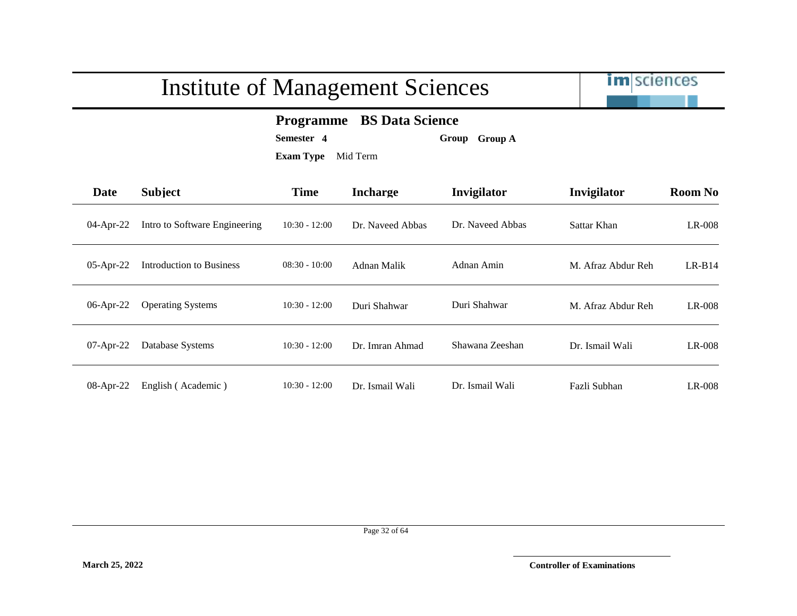

#### **Programme BS Data Science**

**Semester 4 Group Group A**

| <b>Date</b>  | <b>Subject</b>                | <b>Time</b>     | <b>Incharge</b>  | Invigilator      | Invigilator        | <b>Room No</b> |
|--------------|-------------------------------|-----------------|------------------|------------------|--------------------|----------------|
| 04-Apr-22    | Intro to Software Engineering | $10:30 - 12:00$ | Dr. Naveed Abbas | Dr. Naveed Abbas | Sattar Khan        | LR-008         |
| 05-Apr-22    | Introduction to Business      | $08:30 - 10:00$ | Adnan Malik      | Adnan Amin       | M. Afraz Abdur Reh | $LR-B14$       |
| 06-Apr-22    | <b>Operating Systems</b>      | $10:30 - 12:00$ | Duri Shahwar     | Duri Shahwar     | M. Afraz Abdur Reh | LR-008         |
| $07$ -Apr-22 | Database Systems              | $10:30 - 12:00$ | Dr. Imran Ahmad  | Shawana Zeeshan  | Dr. Ismail Wali    | LR-008         |
| 08-Apr-22    | English (Academic)            | $10:30 - 12:00$ | Dr. Ismail Wali  | Dr. Ismail Wali  | Fazli Subhan       | $LR-008$       |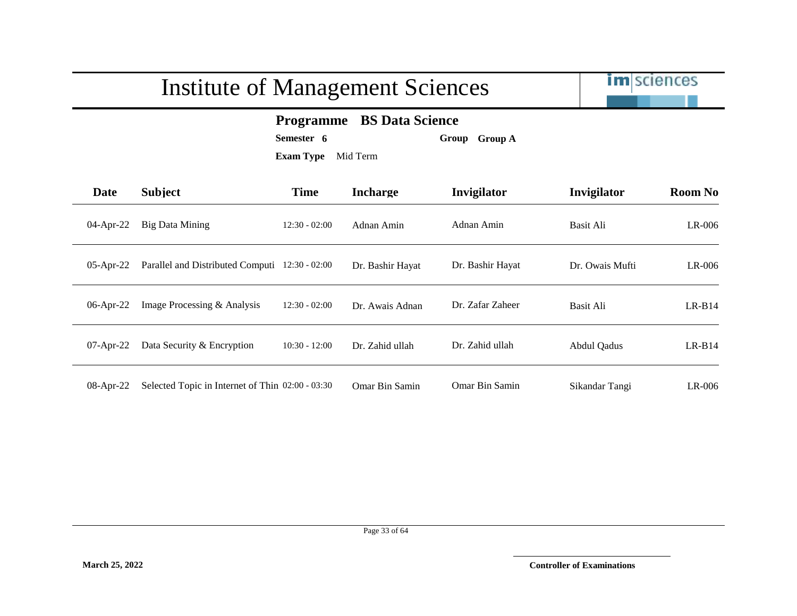

#### **Programme BS Data Science**

**Semester 6 Group Group A**

| Date         | <b>Subject</b>                                   | <b>Time</b>     | <b>Incharge</b>  | Invigilator      | Invigilator        | <b>Room No</b> |
|--------------|--------------------------------------------------|-----------------|------------------|------------------|--------------------|----------------|
| 04-Apr-22    | <b>Big Data Mining</b>                           | $12:30 - 02:00$ | Adnan Amin       | Adnan Amin       | Basit Ali          | LR-006         |
| $05$ -Apr-22 | Parallel and Distributed Computi 12:30 - 02:00   |                 | Dr. Bashir Hayat | Dr. Bashir Hayat | Dr. Owais Mufti    | $LR-006$       |
| $06$ -Apr-22 | Image Processing & Analysis                      | $12:30 - 02:00$ | Dr. Awais Adnan  | Dr. Zafar Zaheer | Basit Ali          | $LR-B14$       |
| $07$ -Apr-22 | Data Security & Encryption                       | $10:30 - 12:00$ | Dr. Zahid ullah  | Dr. Zahid ullah  | <b>Abdul Qadus</b> | $LR-B14$       |
| 08-Apr-22    | Selected Topic in Internet of Thin 02:00 - 03:30 |                 | Omar Bin Samin   | Omar Bin Samin   | Sikandar Tangi     | $LR-006$       |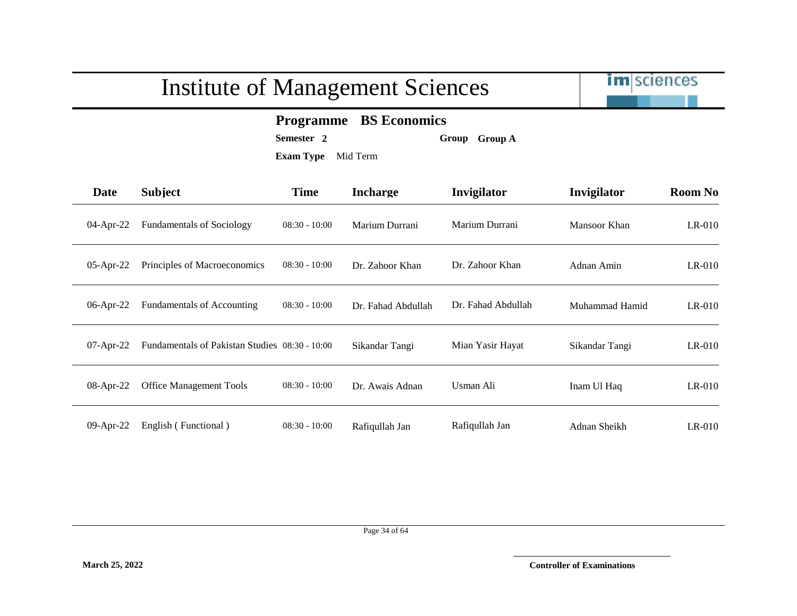

#### **Programme BS Economics**

**Semester 2 Group Group A**

| <b>Date</b>  | <b>Subject</b>                                 | <b>Time</b>     | <b>Incharge</b>    | Invigilator        | Invigilator    | <b>Room No</b> |
|--------------|------------------------------------------------|-----------------|--------------------|--------------------|----------------|----------------|
| 04-Apr-22    | <b>Fundamentals of Sociology</b>               | $08:30 - 10:00$ | Marium Durrani     | Marium Durrani     | Mansoor Khan   | $LR-010$       |
| $05$ -Apr-22 | Principles of Macroeconomics                   | $08:30 - 10:00$ | Dr. Zahoor Khan    | Dr. Zahoor Khan    | Adnan Amin     | $LR-010$       |
| 06-Apr-22    | <b>Fundamentals of Accounting</b>              | $08:30 - 10:00$ | Dr. Fahad Abdullah | Dr. Fahad Abdullah | Muhammad Hamid | $LR-010$       |
| $07$ -Apr-22 | Fundamentals of Pakistan Studies 08:30 - 10:00 |                 | Sikandar Tangi     | Mian Yasir Hayat   | Sikandar Tangi | $LR-010$       |
| 08-Apr-22    | <b>Office Management Tools</b>                 | $08:30 - 10:00$ | Dr. Awais Adnan    | Usman Ali          | Inam Ul Haq    | $LR-010$       |
| 09-Apr-22    | English (Functional)                           | $08:30 - 10:00$ | Rafiqullah Jan     | Rafiqullah Jan     | Adnan Sheikh   | $LR-010$       |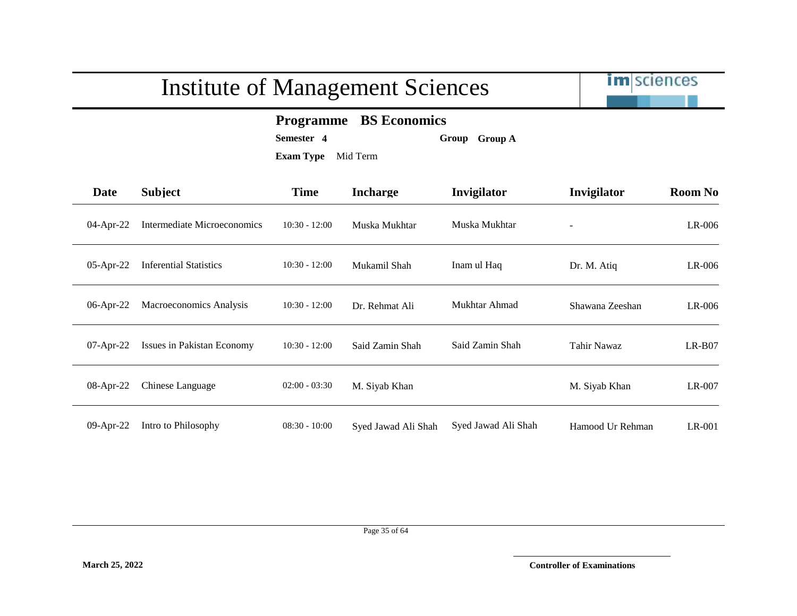|              | <b>Institute of Management Sciences</b> |                                                                                                        |                     |                     |                    | <b>im</b> sciences |  |
|--------------|-----------------------------------------|--------------------------------------------------------------------------------------------------------|---------------------|---------------------|--------------------|--------------------|--|
|              |                                         | <b>BS Economics</b><br><b>Programme</b><br>Semester 4<br>Group Group A<br><b>Exam Type</b><br>Mid Term |                     |                     |                    |                    |  |
| <b>Date</b>  | <b>Subject</b>                          | <b>Time</b>                                                                                            | <b>Incharge</b>     | Invigilator         | Invigilator        | <b>Room No</b>     |  |
| 04-Apr-22    | Intermediate Microeconomics             | $10:30 - 12:00$                                                                                        | Muska Mukhtar       | Muska Mukhtar       |                    | LR-006             |  |
| 05-Apr-22    | <b>Inferential Statistics</b>           | $10:30 - 12:00$                                                                                        | Mukamil Shah        | Inam ul Haq         | Dr. M. Atiq        | LR-006             |  |
| $06$ -Apr-22 | Macroeconomics Analysis                 | $10:30 - 12:00$                                                                                        | Dr. Rehmat Ali      | Mukhtar Ahmad       | Shawana Zeeshan    | LR-006             |  |
| $07$ -Apr-22 | Issues in Pakistan Economy              | $10:30 - 12:00$                                                                                        | Said Zamin Shah     | Said Zamin Shah     | <b>Tahir Nawaz</b> | $LR-B07$           |  |
| 08-Apr-22    | Chinese Language                        | $02:00 - 03:30$                                                                                        | M. Siyab Khan       |                     | M. Siyab Khan      | LR-007             |  |
| 09-Apr-22    | Intro to Philosophy                     | $08:30 - 10:00$                                                                                        | Syed Jawad Ali Shah | Syed Jawad Ali Shah | Hamood Ur Rehman   | LR-001             |  |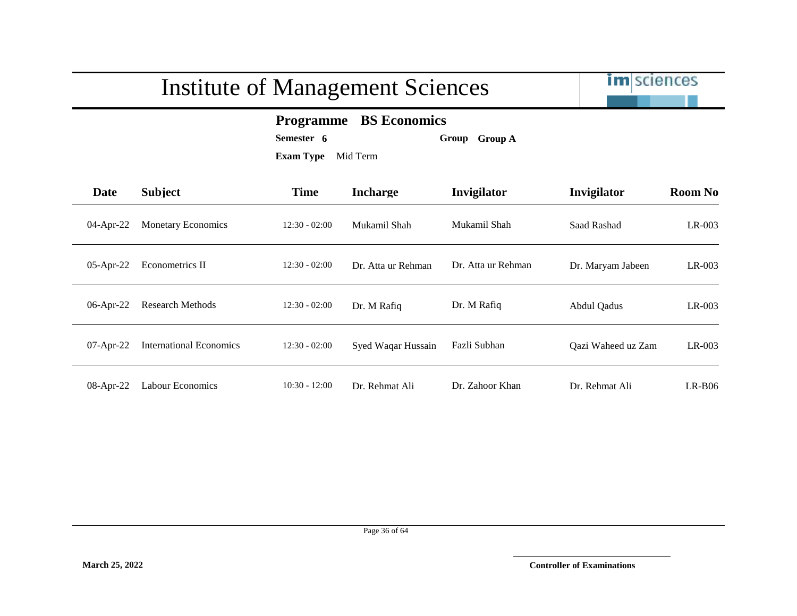

#### **Programme BS Economics**

**Semester 6 Group Group A**

| Date         | <b>Subject</b>                 | <b>Time</b>     | <b>Incharge</b>    | Invigilator        | Invigilator        | <b>Room No</b> |
|--------------|--------------------------------|-----------------|--------------------|--------------------|--------------------|----------------|
| 04-Apr-22    | <b>Monetary Economics</b>      | $12:30 - 02:00$ | Mukamil Shah       | Mukamil Shah       | Saad Rashad        | LR-003         |
| $05$ -Apr-22 | Econometrics II                | $12:30 - 02:00$ | Dr. Atta ur Rehman | Dr. Atta ur Rehman | Dr. Maryam Jabeen  | $LR-003$       |
| 06-Apr-22    | <b>Research Methods</b>        | $12:30 - 02:00$ | Dr. M Rafiq        | Dr. M Rafiq        | Abdul Qadus        | LR-003         |
| 07-Apr-22    | <b>International Economics</b> | $12:30 - 02:00$ | Syed Waqar Hussain | Fazli Subhan       | Qazi Waheed uz Zam | $LR-003$       |
| 08-Apr-22    | <b>Labour Economics</b>        | $10:30 - 12:00$ | Dr. Rehmat Ali     | Dr. Zahoor Khan    | Dr. Rehmat Ali     | $LR-B06$       |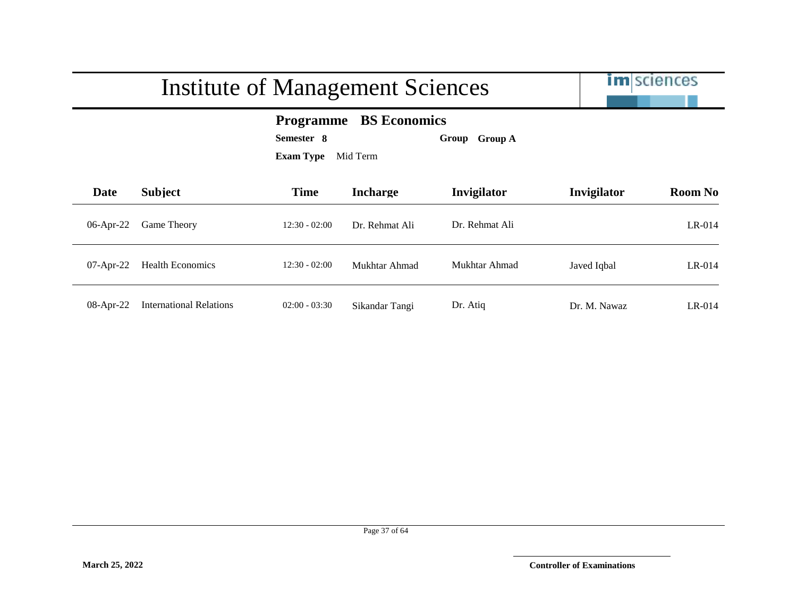|              |                                | <b>Institute of Management Sciences</b> |                                                                                |                | <b>im</b> sciences |                |
|--------------|--------------------------------|-----------------------------------------|--------------------------------------------------------------------------------|----------------|--------------------|----------------|
|              |                                | Semester 8<br><b>Exam Type</b>          | <b>BS Economics</b><br><b>Programme</b><br><b>Group A</b><br>Group<br>Mid Term |                |                    |                |
| <b>Date</b>  | <b>Subject</b>                 | <b>Time</b>                             | <b>Incharge</b>                                                                | Invigilator    | Invigilator        | <b>Room No</b> |
| 06-Apr-22    | Game Theory                    | $12:30 - 02:00$                         | Dr. Rehmat Ali                                                                 | Dr. Rehmat Ali |                    | LR-014         |
| $07$ -Apr-22 | <b>Health Economics</b>        | $12:30 - 02:00$                         | Mukhtar Ahmad                                                                  | Mukhtar Ahmad  | Javed Iqbal        | $LR-014$       |
| $08$ -Apr-22 | <b>International Relations</b> | $02:00 - 03:30$                         | Sikandar Tangi                                                                 | Dr. Atiq       | Dr. M. Nawaz       | $LR-014$       |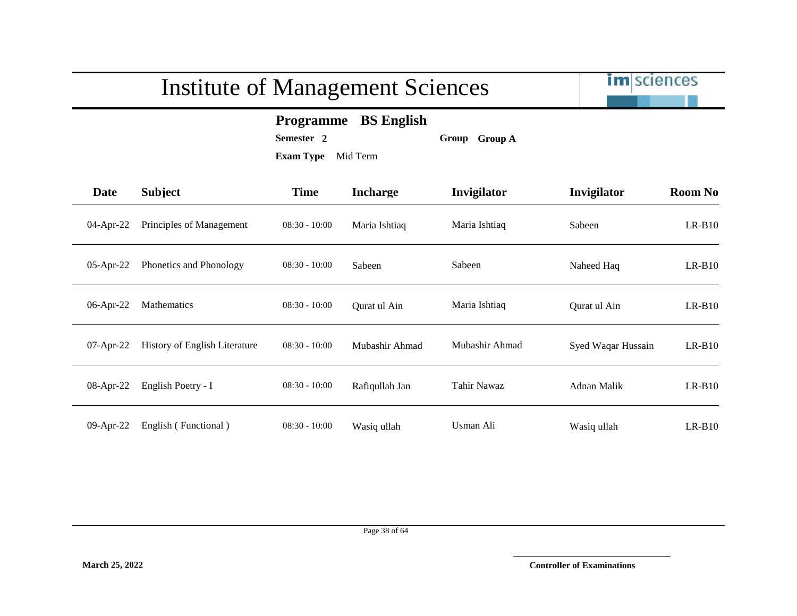

#### **Programme BS English**

**Semester 2 Group Group A**

| Date         | <b>Subject</b>                | <b>Time</b>     | <b>Incharge</b> | Invigilator        | Invigilator        | <b>Room No</b> |
|--------------|-------------------------------|-----------------|-----------------|--------------------|--------------------|----------------|
| 04-Apr-22    | Principles of Management      | $08:30 - 10:00$ | Maria Ishtiaq   | Maria Ishtiaq      | Sabeen             | $LR-B10$       |
| $05$ -Apr-22 | Phonetics and Phonology       | $08:30 - 10:00$ | Sabeen          | Sabeen             | Naheed Haq         | $LR-B10$       |
| 06-Apr-22    | <b>Mathematics</b>            | $08:30 - 10:00$ | Ourat ul Ain    | Maria Ishtiaq      | Qurat ul Ain       | $LR-B10$       |
| $07$ -Apr-22 | History of English Literature | $08:30 - 10:00$ | Mubashir Ahmad  | Mubashir Ahmad     | Syed Waqar Hussain | $LR-B10$       |
| 08-Apr-22    | English Poetry - I            | $08:30 - 10:00$ | Rafiqullah Jan  | <b>Tahir Nawaz</b> | Adnan Malik        | $LR-B10$       |
| 09-Apr-22    | English (Functional)          | $08:30 - 10:00$ | Wasiq ullah     | Usman Ali          | Wasiq ullah        | $LR-B10$       |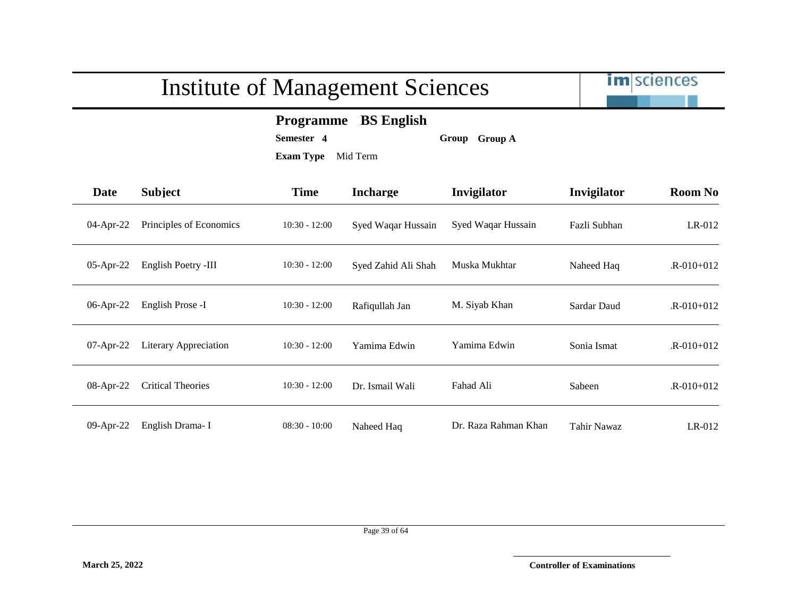

#### **Programme BS English**

**Semester 4 Group Group A**

| <b>Date</b>  | <b>Subject</b>           | <b>Time</b>     | <b>Incharge</b>     | Invigilator          | Invigilator  | <b>Room No</b>  |
|--------------|--------------------------|-----------------|---------------------|----------------------|--------------|-----------------|
| 04-Apr-22    | Principles of Economics  | $10:30 - 12:00$ | Syed Waqar Hussain  | Syed Waqar Hussain   | Fazli Subhan | $LR-012$        |
| $05$ -Apr-22 | English Poetry -III      | $10:30 - 12:00$ | Syed Zahid Ali Shah | Muska Mukhtar        | Naheed Haq   | $R-010+012$     |
| 06-Apr-22    | English Prose -I         | $10:30 - 12:00$ | Rafiqullah Jan      | M. Siyab Khan        | Sardar Daud  | $R - 010 + 012$ |
| 07-Apr-22    | Literary Appreciation    | $10:30 - 12:00$ | Yamima Edwin        | Yamima Edwin         | Sonia Ismat  | $R - 010 + 012$ |
| 08-Apr-22    | <b>Critical Theories</b> | $10:30 - 12:00$ | Dr. Ismail Wali     | Fahad Ali            | Sabeen       | $R - 010 + 012$ |
| 09-Apr-22    | English Drama-I          | $08:30 - 10:00$ | Naheed Haq          | Dr. Raza Rahman Khan | Tahir Nawaz  | $LR-012$        |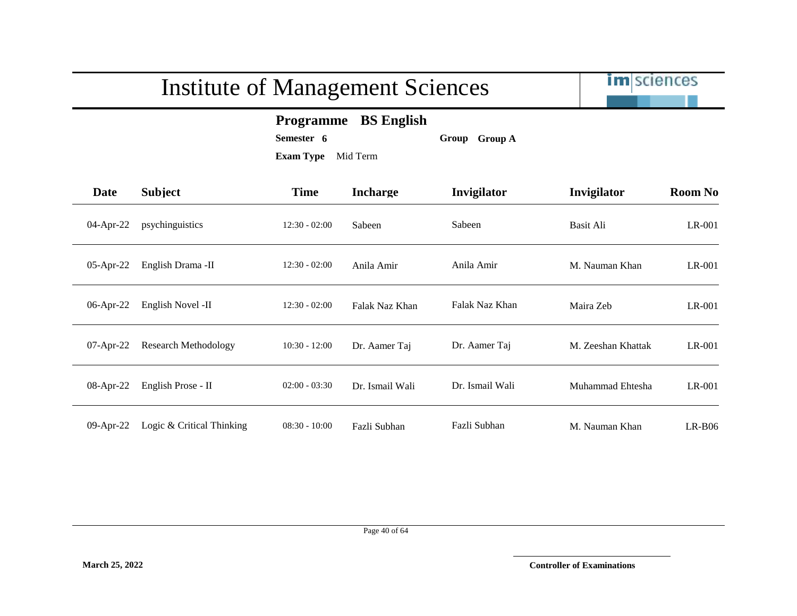

#### **Programme BS English**

**Semester 6 Group Group A**

**Exam Type** Mid Term

| <b>Date</b>  | <b>Subject</b>              | <b>Time</b>     | <b>Incharge</b> | Invigilator     | Invigilator        | <b>Room No</b> |
|--------------|-----------------------------|-----------------|-----------------|-----------------|--------------------|----------------|
| $04$ -Apr-22 | psychinguistics             | $12:30 - 02:00$ | Sabeen          | Sabeen          | Basit Ali          | LR-001         |
| $05$ -Apr-22 | English Drama -II           | $12:30 - 02:00$ | Anila Amir      | Anila Amir      | M. Nauman Khan     | LR-001         |
| 06-Apr-22    | English Novel -II           | $12:30 - 02:00$ | Falak Naz Khan  | Falak Naz Khan  | Maira Zeb          | LR-001         |
| $07$ -Apr-22 | <b>Research Methodology</b> | $10:30 - 12:00$ | Dr. Aamer Taj   | Dr. Aamer Taj   | M. Zeeshan Khattak | LR-001         |
| 08-Apr-22    | English Prose - II          | $02:00 - 03:30$ | Dr. Ismail Wali | Dr. Ismail Wali | Muhammad Ehtesha   | LR-001         |
| $09$ -Apr-22 | Logic & Critical Thinking   | $08:30 - 10:00$ | Fazli Subhan    | Fazli Subhan    | M. Nauman Khan     | $LR-B06$       |

Page 40 of 64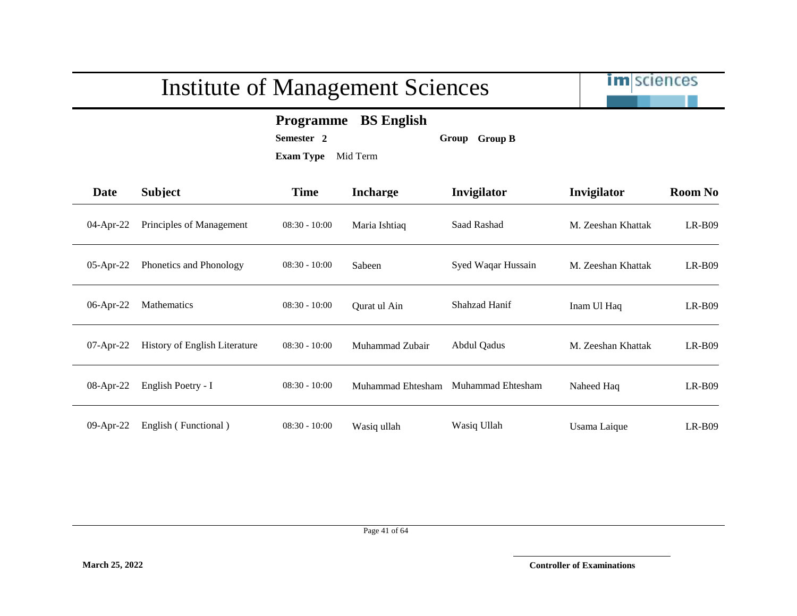

#### **Programme BS English**

**Semester 2 Group Group B**

| Date         | <b>Subject</b>                       | <b>Time</b>     | <b>Incharge</b>   | Invigilator        | Invigilator        | <b>Room No</b> |
|--------------|--------------------------------------|-----------------|-------------------|--------------------|--------------------|----------------|
| $04$ -Apr-22 | Principles of Management             | $08:30 - 10:00$ | Maria Ishtiaq     | Saad Rashad        | M. Zeeshan Khattak | $LR-B09$       |
| 05-Apr-22    | Phonetics and Phonology              | $08:30 - 10:00$ | Sabeen            | Syed Waqar Hussain | M. Zeeshan Khattak | $LR-B09$       |
| 06-Apr-22    | <b>Mathematics</b>                   | $08:30 - 10:00$ | Qurat ul Ain      | Shahzad Hanif      | Inam Ul Haq        | $LR-B09$       |
| $07$ -Apr-22 | <b>History of English Literature</b> | $08:30 - 10:00$ | Muhammad Zubair   | Abdul Qadus        | M. Zeeshan Khattak | $LR-B09$       |
| 08-Apr-22    | English Poetry - I                   | $08:30 - 10:00$ | Muhammad Ehtesham | Muhammad Ehtesham  | Naheed Haq         | $LR-B09$       |
| 09-Apr-22    | English (Functional)                 | $08:30 - 10:00$ | Wasiq ullah       | Wasiq Ullah        | Usama Laique       | $LR-B09$       |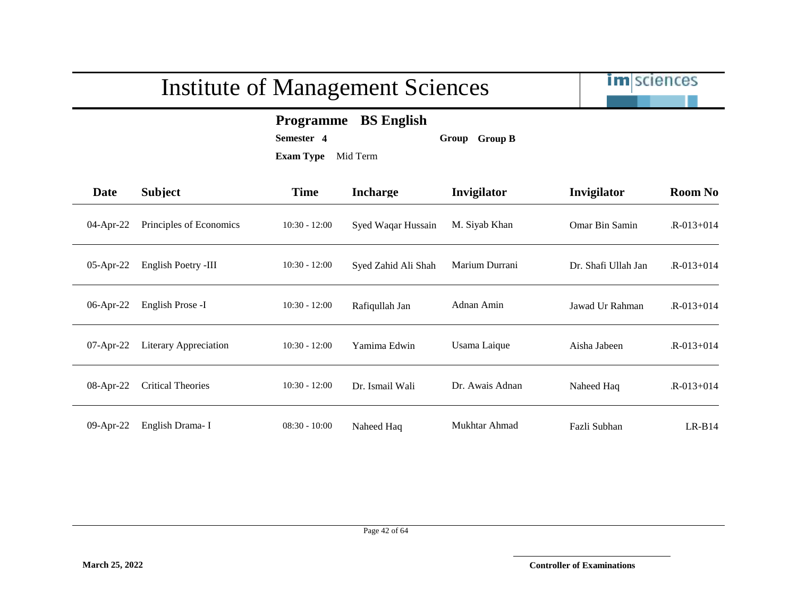

#### **Programme BS English**

**Semester 4 Group Group B**

| Date         | <b>Subject</b>               | <b>Time</b>     | <b>Incharge</b>     | Invigilator     | Invigilator           | <b>Room No</b>  |
|--------------|------------------------------|-----------------|---------------------|-----------------|-----------------------|-----------------|
| $04$ -Apr-22 | Principles of Economics      | $10:30 - 12:00$ | Syed Waqar Hussain  | M. Siyab Khan   | <b>Omar Bin Samin</b> | $R - 013 + 014$ |
| $05$ -Apr-22 | English Poetry -III          | $10:30 - 12:00$ | Syed Zahid Ali Shah | Marium Durrani  | Dr. Shafi Ullah Jan   | $R - 013 + 014$ |
| 06-Apr-22    | English Prose -I             | $10:30 - 12:00$ | Rafiqullah Jan      | Adnan Amin      | Jawad Ur Rahman       | $R - 013 + 014$ |
| $07$ -Apr-22 | <b>Literary Appreciation</b> | $10:30 - 12:00$ | Yamima Edwin        | Usama Laique    | Aisha Jabeen          | $R - 013 + 014$ |
| 08-Apr-22    | <b>Critical Theories</b>     | $10:30 - 12:00$ | Dr. Ismail Wali     | Dr. Awais Adnan | Naheed Haq            | $R - 013 + 014$ |
| 09-Apr-22    | English Drama-I              | $08:30 - 10:00$ | Naheed Haq          | Mukhtar Ahmad   | Fazli Subhan          | $LR-B14$        |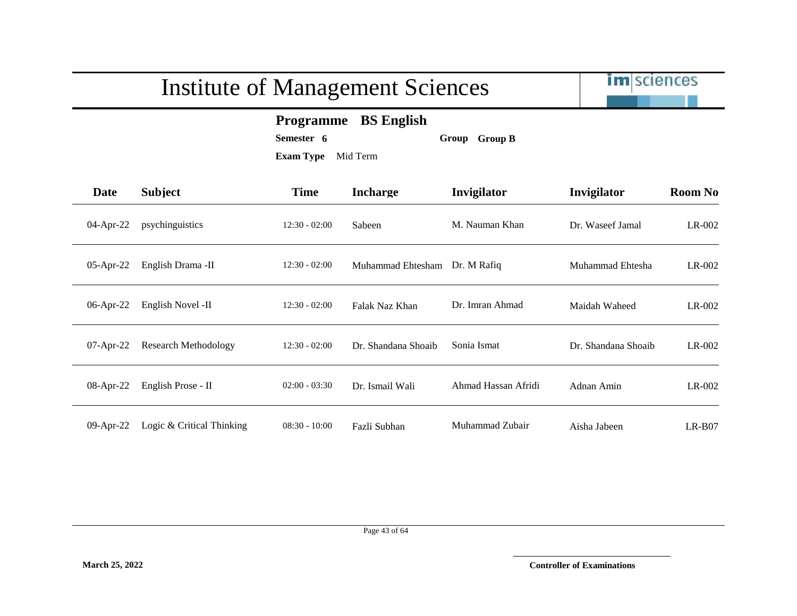|              |                             | <b>Institute of Management Sciences</b> |                                         |                     | im sciences         |                |
|--------------|-----------------------------|-----------------------------------------|-----------------------------------------|---------------------|---------------------|----------------|
|              |                             | Semester 6<br><b>Exam Type</b>          | <b>Programme</b> BS English<br>Mid Term | Group Group B       |                     |                |
| Date         | <b>Subject</b>              | <b>Time</b>                             | <b>Incharge</b>                         | Invigilator         | Invigilator         | <b>Room No</b> |
| 04-Apr-22    | psychinguistics             | $12:30 - 02:00$                         | Sabeen                                  | M. Nauman Khan      | Dr. Waseef Jamal    | LR-002         |
| 05-Apr-22    | English Drama -II           | $12:30 - 02:00$                         | Muhammad Ehtesham                       | Dr. M Rafiq         | Muhammad Ehtesha    | LR-002         |
| 06-Apr-22    | English Novel -II           | $12:30 - 02:00$                         | Falak Naz Khan                          | Dr. Imran Ahmad     | Maidah Waheed       | $LR-002$       |
| $07$ -Apr-22 | <b>Research Methodology</b> | $12:30 - 02:00$                         | Dr. Shandana Shoaib                     | Sonia Ismat         | Dr. Shandana Shoaib | LR-002         |
| 08-Apr-22    | English Prose - II          | $02:00 - 03:30$                         | Dr. Ismail Wali                         | Ahmad Hassan Afridi | Adnan Amin          | $LR-002$       |
| $09$ -Apr-22 | Logic & Critical Thinking   | $08:30 - 10:00$                         | Fazli Subhan                            | Muhammad Zubair     | Aisha Jabeen        | $LR-B07$       |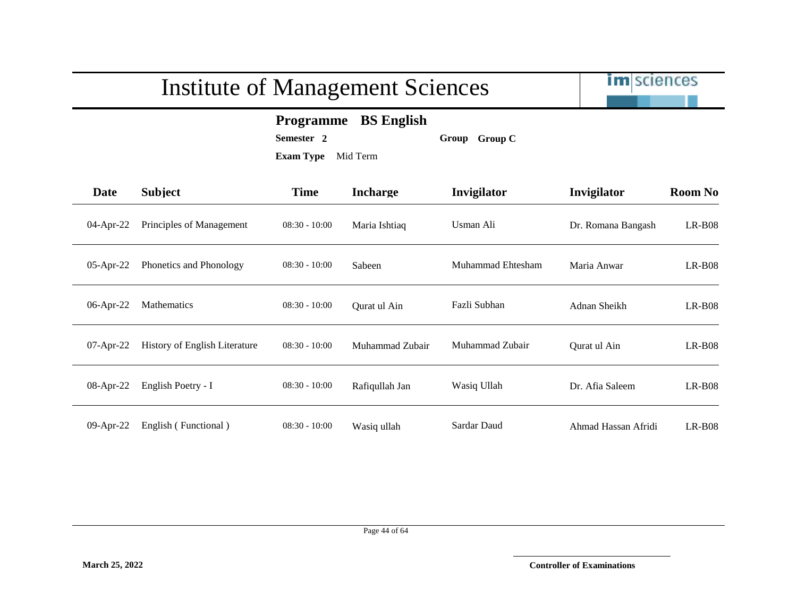

#### **Programme BS English**

**Semester 2 Group Group C**

| <b>Date</b>  | <b>Subject</b>                | <b>Time</b>     | <b>Incharge</b> | Invigilator       | Invigilator         | <b>Room No</b> |
|--------------|-------------------------------|-----------------|-----------------|-------------------|---------------------|----------------|
| 04-Apr-22    | Principles of Management      | $08:30 - 10:00$ | Maria Ishtiaq   | Usman Ali         | Dr. Romana Bangash  | $LR-B08$       |
| $05$ -Apr-22 | Phonetics and Phonology       | $08:30 - 10:00$ | Sabeen          | Muhammad Ehtesham | Maria Anwar         | $LR-B08$       |
| 06-Apr-22    | <b>Mathematics</b>            | $08:30 - 10:00$ | Qurat ul Ain    | Fazli Subhan      | Adnan Sheikh        | $LR-B08$       |
| $07$ -Apr-22 | History of English Literature | $08:30 - 10:00$ | Muhammad Zubair | Muhammad Zubair   | Qurat ul Ain        | $LR-B08$       |
| 08-Apr-22    | English Poetry - I            | $08:30 - 10:00$ | Rafiqullah Jan  | Wasiq Ullah       | Dr. Afia Saleem     | $LR-B08$       |
| 09-Apr-22    | English (Functional)          | $08:30 - 10:00$ | Wasiq ullah     | Sardar Daud       | Ahmad Hassan Afridi | $LR-B08$       |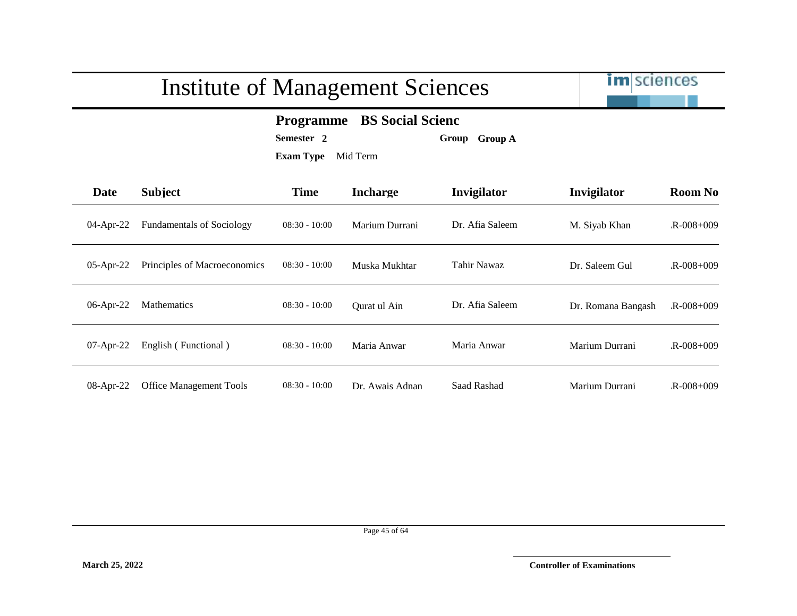

#### **Programme BS Social Scienc**

**Semester 2 Group Group A**

| <b>Date</b>  | <b>Subject</b>                   | <b>Time</b>     | <b>Incharge</b> | Invigilator     | Invigilator        | <b>Room No</b>  |
|--------------|----------------------------------|-----------------|-----------------|-----------------|--------------------|-----------------|
| 04-Apr-22    | <b>Fundamentals of Sociology</b> | $08:30 - 10:00$ | Marium Durrani  | Dr. Afia Saleem | M. Siyab Khan      | $R - 008 + 009$ |
| $05$ -Apr-22 | Principles of Macroeconomics     | $08:30 - 10:00$ | Muska Mukhtar   | Tahir Nawaz     | Dr. Saleem Gul     | $R - 008 + 009$ |
| 06-Apr-22    | Mathematics                      | $08:30 - 10:00$ | Qurat ul Ain    | Dr. Afia Saleem | Dr. Romana Bangash | $R - 008 + 009$ |
| $07$ -Apr-22 | English (Functional)             | $08:30 - 10:00$ | Maria Anwar     | Maria Anwar     | Marium Durrani     | $R - 008 + 009$ |
| 08-Apr-22    | <b>Office Management Tools</b>   | $08:30 - 10:00$ | Dr. Awais Adnan | Saad Rashad     | Marium Durrani     | $R - 008 + 009$ |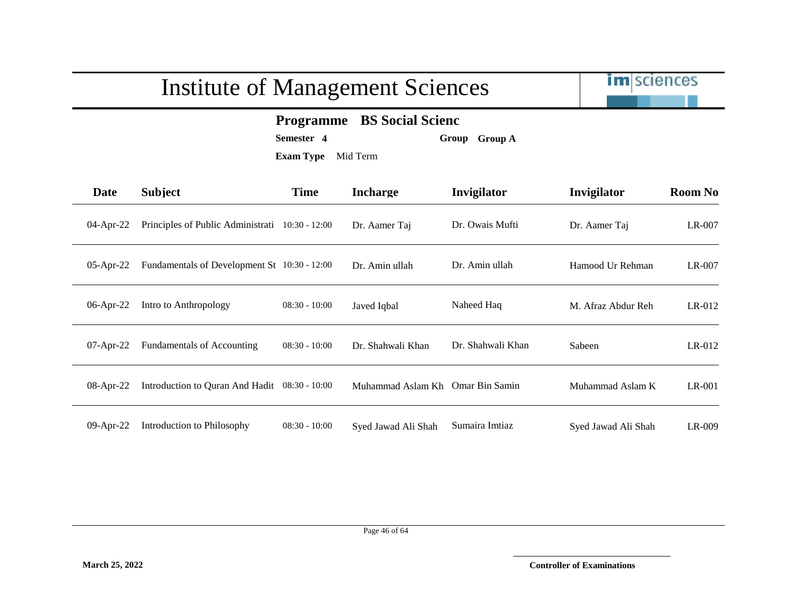

#### **Programme BS Social Scienc**

**Semester 4 Group Group A**

| Date         | <b>Subject</b>                                  | <b>Time</b>     | <b>Incharge</b>     | Invigilator       | Invigilator         | <b>Room No</b> |
|--------------|-------------------------------------------------|-----------------|---------------------|-------------------|---------------------|----------------|
| $04$ -Apr-22 | Principles of Public Administrati 10:30 - 12:00 |                 | Dr. Aamer Taj       | Dr. Owais Mufti   | Dr. Aamer Taj       | $LR-007$       |
| $05$ -Apr-22 | Fundamentals of Development St 10:30 - 12:00    |                 | Dr. Amin ullah      | Dr. Amin ullah    | Hamood Ur Rehman    | $LR-007$       |
| 06-Apr-22    | Intro to Anthropology                           | $08:30 - 10:00$ | Javed Iqbal         | Naheed Haq        | M. Afraz Abdur Reh  | $LR-012$       |
| $07$ -Apr-22 | <b>Fundamentals of Accounting</b>               | $08:30 - 10:00$ | Dr. Shahwali Khan   | Dr. Shahwali Khan | Sabeen              | $LR-012$       |
| $08$ -Apr-22 | Introduction to Quran And Hadit 08:30 - 10:00   |                 | Muhammad Aslam Kh   | Omar Bin Samin    | Muhammad Aslam K    | $LR-001$       |
| 09-Apr-22    | Introduction to Philosophy                      | $08:30 - 10:00$ | Syed Jawad Ali Shah | Sumaira Imtiaz    | Syed Jawad Ali Shah | LR-009         |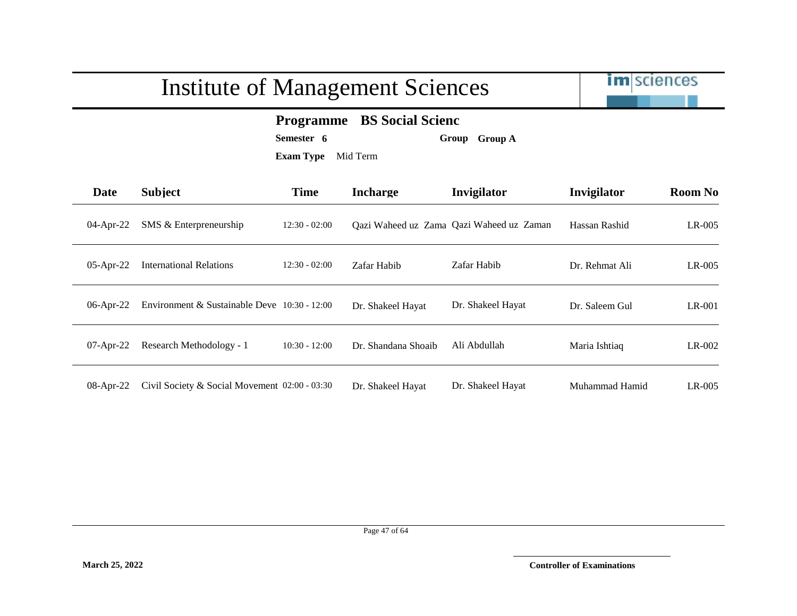

#### **Programme BS Social Scienc**

**Semester 6 Group Group A**

| Date         | <b>Subject</b>                                | <b>Time</b>     | <b>Incharge</b>     | Invigilator                              | Invigilator    | <b>Room No</b> |
|--------------|-----------------------------------------------|-----------------|---------------------|------------------------------------------|----------------|----------------|
| $04$ -Apr-22 | SMS & Enterpreneurship                        | $12:30 - 02:00$ |                     | Qazi Waheed uz Zama Qazi Waheed uz Zaman | Hassan Rashid  | $LR-005$       |
| $05$ -Apr-22 | <b>International Relations</b>                | $12:30 - 02:00$ | Zafar Habib         | Zafar Habib                              | Dr. Rehmat Ali | $LR-005$       |
| 06-Apr-22    | Environment & Sustainable Deve 10:30 - 12:00  |                 | Dr. Shakeel Hayat   | Dr. Shakeel Hayat                        | Dr. Saleem Gul | LR-001         |
| $07$ -Apr-22 | Research Methodology - 1                      | $10:30 - 12:00$ | Dr. Shandana Shoaib | Ali Abdullah                             | Maria Ishtiaq  | $LR-002$       |
| 08-Apr-22    | Civil Society & Social Movement 02:00 - 03:30 |                 | Dr. Shakeel Hayat   | Dr. Shakeel Hayat                        | Muhammad Hamid | LR-005         |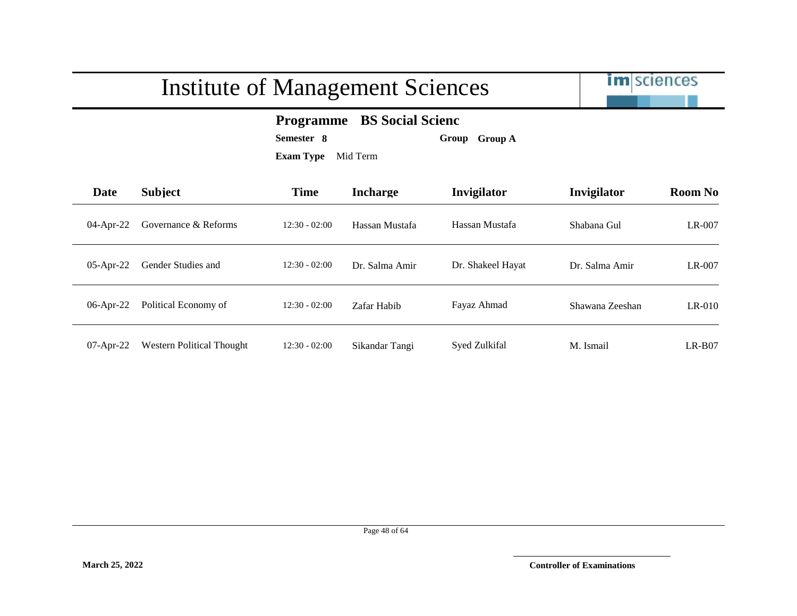

#### **Programme BS Social Scienc**

**Semester 8 Group Group A**

| Date         | <b>Subject</b>                   | <b>Time</b>     | <b>Incharge</b> | <b>Invigilator</b> | Invigilator     | <b>Room No</b> |
|--------------|----------------------------------|-----------------|-----------------|--------------------|-----------------|----------------|
| $04$ -Apr-22 | Governance & Reforms             | $12:30 - 02:00$ | Hassan Mustafa  | Hassan Mustafa     | Shabana Gul     | LR-007         |
| $05$ -Apr-22 | Gender Studies and               | $12:30 - 02:00$ | Dr. Salma Amir  | Dr. Shakeel Hayat  | Dr. Salma Amir  | LR-007         |
| $06$ -Apr-22 | Political Economy of             | $12:30 - 02:00$ | Zafar Habib     | Fayaz Ahmad        | Shawana Zeeshan | $LR-010$       |
| $07$ -Apr-22 | <b>Western Political Thought</b> | $12:30 - 02:00$ | Sikandar Tangi  | Syed Zulkifal      | M. Ismail       | $LR-B07$       |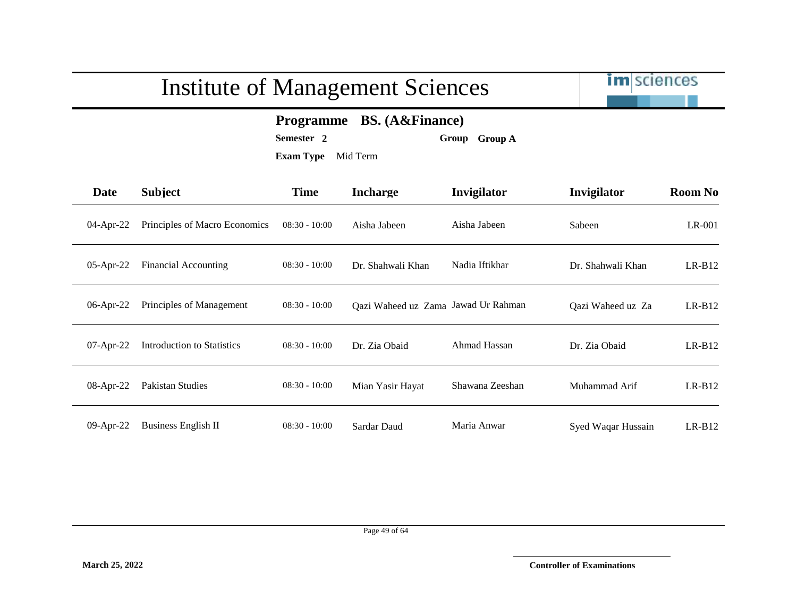

#### **Programme BS. (A&Finance)**

**Semester 2 Group Group A**

| Date         | <b>Subject</b>                | <b>Time</b>     | <b>Incharge</b>                     | Invigilator     | Invigilator        | <b>Room No</b> |
|--------------|-------------------------------|-----------------|-------------------------------------|-----------------|--------------------|----------------|
| 04-Apr-22    | Principles of Macro Economics | $08:30 - 10:00$ | Aisha Jabeen                        | Aisha Jabeen    | Sabeen             | LR-001         |
| $05$ -Apr-22 | <b>Financial Accounting</b>   | $08:30 - 10:00$ | Dr. Shahwali Khan                   | Nadia Iftikhar  | Dr. Shahwali Khan  | $LR-B12$       |
| 06-Apr-22    | Principles of Management      | $08:30 - 10:00$ | Qazi Waheed uz Zama Jawad Ur Rahman |                 | Qazi Waheed uz Za  | $LR-B12$       |
| $07-Apr-22$  | Introduction to Statistics    | $08:30 - 10:00$ | Dr. Zia Obaid                       | Ahmad Hassan    | Dr. Zia Obaid      | $LR-B12$       |
| 08-Apr-22    | Pakistan Studies              | $08:30 - 10:00$ | Mian Yasir Hayat                    | Shawana Zeeshan | Muhammad Arif      | $LR-B12$       |
| 09-Apr-22    | <b>Business English II</b>    | $08:30 - 10:00$ | Sardar Daud                         | Maria Anwar     | Syed Waqar Hussain | $LR-B12$       |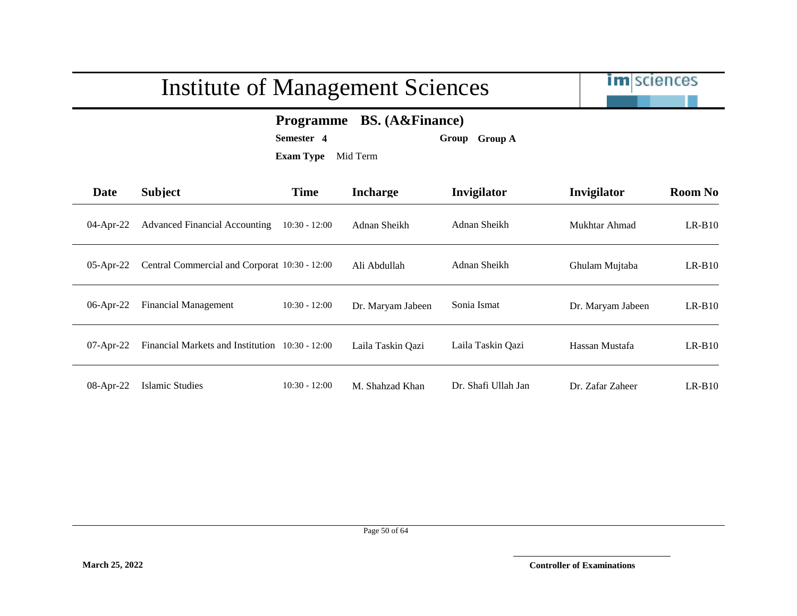

**Programme BS. (A&Finance)**

**Semester 4 Group Group A**

| Date         | <b>Subject</b>                                  | <b>Time</b>     | <b>Incharge</b>   | <b>Invigilator</b>  | Invigilator       | <b>Room No</b> |
|--------------|-------------------------------------------------|-----------------|-------------------|---------------------|-------------------|----------------|
| 04-Apr-22    | <b>Advanced Financial Accounting</b>            | $10:30 - 12:00$ | Adnan Sheikh      | Adnan Sheikh        | Mukhtar Ahmad     | $LR-B10$       |
| $05$ -Apr-22 | Central Commercial and Corporat 10:30 - 12:00   |                 | Ali Abdullah      | Adnan Sheikh        | Ghulam Mujtaba    | $LR-B10$       |
| 06-Apr-22    | <b>Financial Management</b>                     | $10:30 - 12:00$ | Dr. Maryam Jabeen | Sonia Ismat         | Dr. Maryam Jabeen | $LR-B10$       |
| $07$ -Apr-22 | Financial Markets and Institution 10:30 - 12:00 |                 | Laila Taskin Qazi | Laila Taskin Qazi   | Hassan Mustafa    | $LR-B10$       |
| 08-Apr-22    | Islamic Studies                                 | $10:30 - 12:00$ | M. Shahzad Khan   | Dr. Shafi Ullah Jan | Dr. Zafar Zaheer  | $LR-B10$       |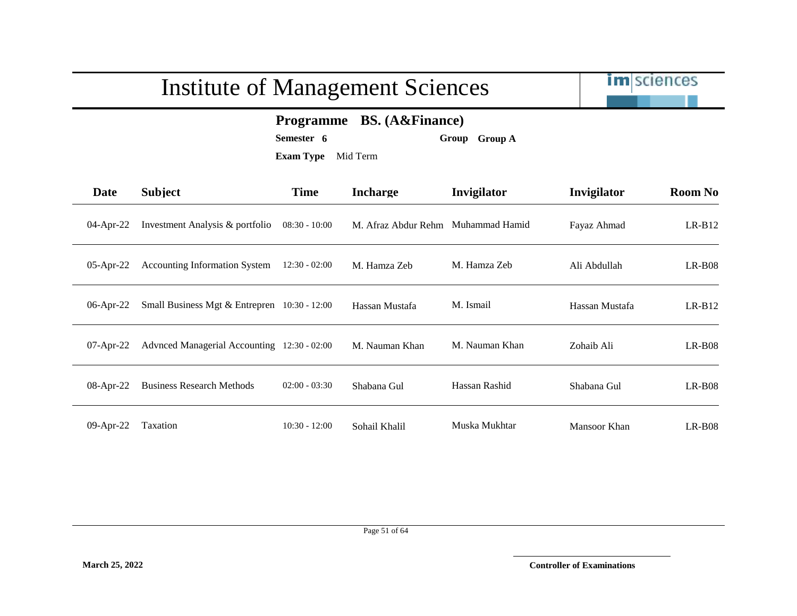

#### **Programme BS. (A&Finance)**

**Semester 6 Group Group A**

| Date         | <b>Subject</b>                                 | <b>Time</b>     | <b>Incharge</b>     | Invigilator    | Invigilator    | <b>Room No</b> |
|--------------|------------------------------------------------|-----------------|---------------------|----------------|----------------|----------------|
| $04$ -Apr-22 | Investment Analysis & portfolio                | $08:30 - 10:00$ | M. Afraz Abdur Rehm | Muhammad Hamid | Fayaz Ahmad    | $LR-B12$       |
| $05$ -Apr-22 | <b>Accounting Information System</b>           | $12:30 - 02:00$ | M. Hamza Zeb        | M. Hamza Zeb   | Ali Abdullah   | $LR-B08$       |
| $06$ -Apr-22 | Small Business Mgt & Entrepren $10:30 - 12:00$ |                 | Hassan Mustafa      | M. Ismail      | Hassan Mustafa | $LR-B12$       |
| $07$ -Apr-22 | Advnced Managerial Accounting 12:30 - 02:00    |                 | M. Nauman Khan      | M. Nauman Khan | Zohaib Ali     | $LR-B08$       |
| 08-Apr-22    | <b>Business Research Methods</b>               | $02:00 - 03:30$ | Shabana Gul         | Hassan Rashid  | Shabana Gul    | $LR-B08$       |
| 09-Apr-22    | Taxation                                       | $10:30 - 12:00$ | Sohail Khalil       | Muska Mukhtar  | Mansoor Khan   | $LR-B08$       |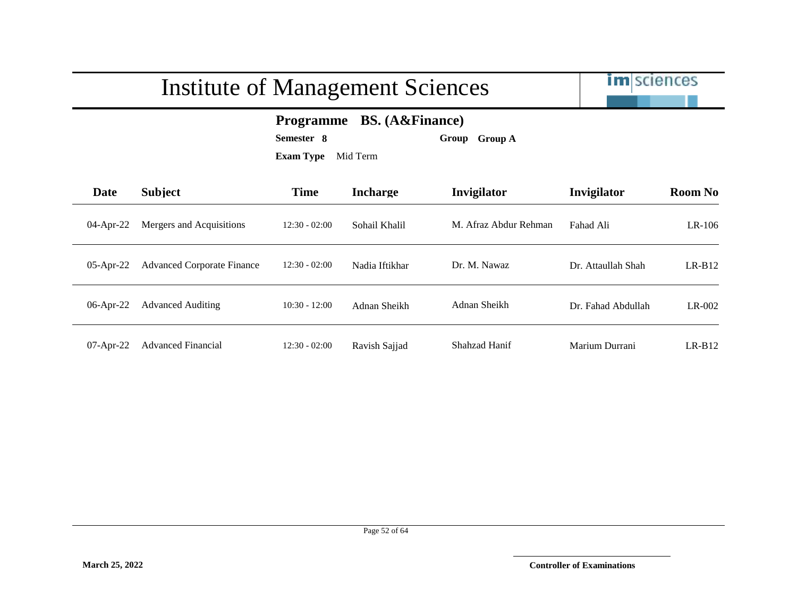|              | <b>Institute of Management Sciences</b> |                                                                                                           | <b>im</b> sciences |                       |                    |                |
|--------------|-----------------------------------------|-----------------------------------------------------------------------------------------------------------|--------------------|-----------------------|--------------------|----------------|
|              |                                         | <b>BS.</b> (A&Finance)<br><b>Programme</b><br>Semester 8<br>Group Group A<br><b>Exam Type</b><br>Mid Term |                    |                       |                    |                |
| Date         | <b>Subject</b>                          | Time                                                                                                      | <b>Incharge</b>    | Invigilator           | Invigilator        | <b>Room No</b> |
| 04-Apr-22    | Mergers and Acquisitions                | $12:30 - 02:00$                                                                                           | Sohail Khalil      | M. Afraz Abdur Rehman | Fahad Ali          | $LR-106$       |
| $05$ -Apr-22 | <b>Advanced Corporate Finance</b>       | $12:30 - 02:00$                                                                                           | Nadia Iftikhar     | Dr. M. Nawaz          | Dr. Attaullah Shah | $LR-B12$       |
| 06-Apr-22    | <b>Advanced Auditing</b>                | $10:30 - 12:00$                                                                                           | Adnan Sheikh       | Adnan Sheikh          | Dr. Fahad Abdullah | $LR-002$       |
| $07$ -Apr-22 | <b>Advanced Financial</b>               | $12:30 - 02:00$                                                                                           | Ravish Sajjad      | Shahzad Hanif         | Marium Durrani     | $LR-B12$       |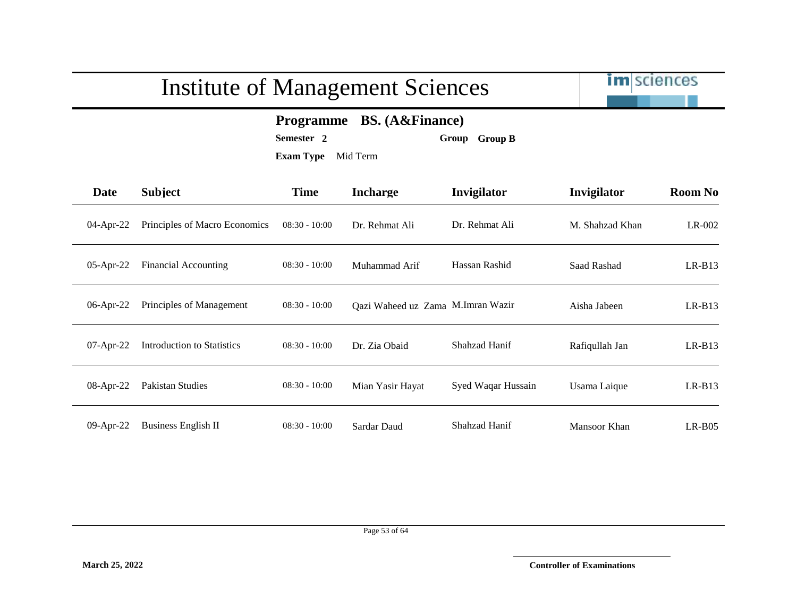

#### **Programme BS. (A&Finance)**

**Semester 2 Group Group B**

| <b>Date</b>  | Subject                           | <b>Time</b>     | <b>Incharge</b>                   | Invigilator        | Invigilator     | <b>Room No</b> |
|--------------|-----------------------------------|-----------------|-----------------------------------|--------------------|-----------------|----------------|
| $04$ -Apr-22 | Principles of Macro Economics     | $08:30 - 10:00$ | Dr. Rehmat Ali                    | Dr. Rehmat Ali     | M. Shahzad Khan | $LR-002$       |
| $05$ -Apr-22 | Financial Accounting              | $08:30 - 10:00$ | Muhammad Arif                     | Hassan Rashid      | Saad Rashad     | $LR-B13$       |
| 06-Apr-22    | Principles of Management          | $08:30 - 10:00$ | Qazi Waheed uz Zama M.Imran Wazir |                    | Aisha Jabeen    | $LR-B13$       |
| $07-Apr-22$  | <b>Introduction to Statistics</b> | $08:30 - 10:00$ | Dr. Zia Obaid                     | Shahzad Hanif      | Rafiqullah Jan  | $LR-B13$       |
| 08-Apr-22    | Pakistan Studies                  | $08:30 - 10:00$ | Mian Yasir Hayat                  | Syed Waqar Hussain | Usama Laique    | $LR-B13$       |
| 09-Apr-22    | <b>Business English II</b>        | $08:30 - 10:00$ | Sardar Daud                       | Shahzad Hanif      | Mansoor Khan    | $LR-B05$       |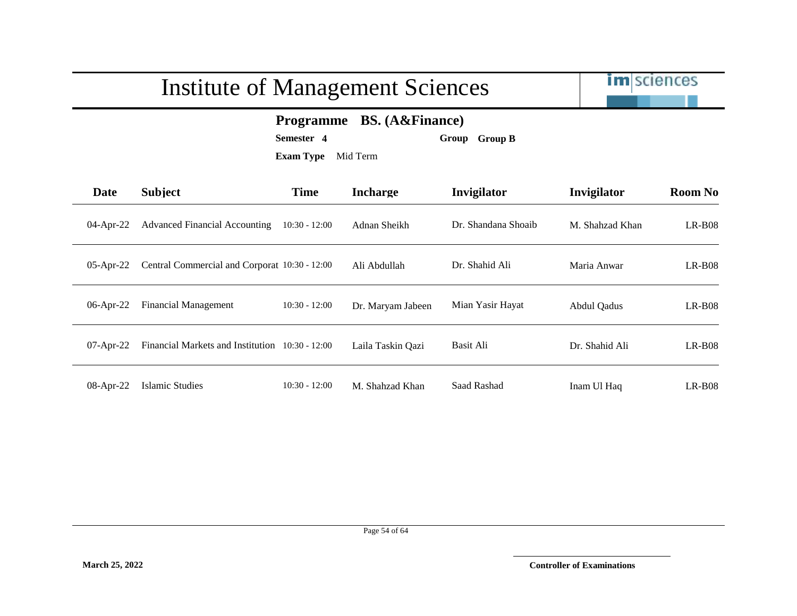

**Programme BS. (A&Finance)**

**Semester 4 Group Group B**

| <b>Date</b>  | <b>Subject</b>                                  | <b>Time</b>     | <b>Incharge</b>   | <b>Invigilator</b>  | Invigilator        | <b>Room No</b> |
|--------------|-------------------------------------------------|-----------------|-------------------|---------------------|--------------------|----------------|
| $04$ -Apr-22 | <b>Advanced Financial Accounting</b>            | $10:30 - 12:00$ | Adnan Sheikh      | Dr. Shandana Shoaib | M. Shahzad Khan    | $LR-B08$       |
| 05-Apr-22    | Central Commercial and Corporat 10:30 - 12:00   |                 | Ali Abdullah      | Dr. Shahid Ali      | Maria Anwar        | $LR-B08$       |
| 06-Apr-22    | Financial Management                            | $10:30 - 12:00$ | Dr. Maryam Jabeen | Mian Yasir Hayat    | <b>Abdul Qadus</b> | $LR-B08$       |
| $07$ -Apr-22 | Financial Markets and Institution 10:30 - 12:00 |                 | Laila Taskin Qazi | Basit Ali           | Dr. Shahid Ali     | $LR-B08$       |
| 08-Apr-22    | <b>Islamic Studies</b>                          | $10:30 - 12:00$ | M. Shahzad Khan   | Saad Rashad         | Inam Ul Haq        | $LR-B08$       |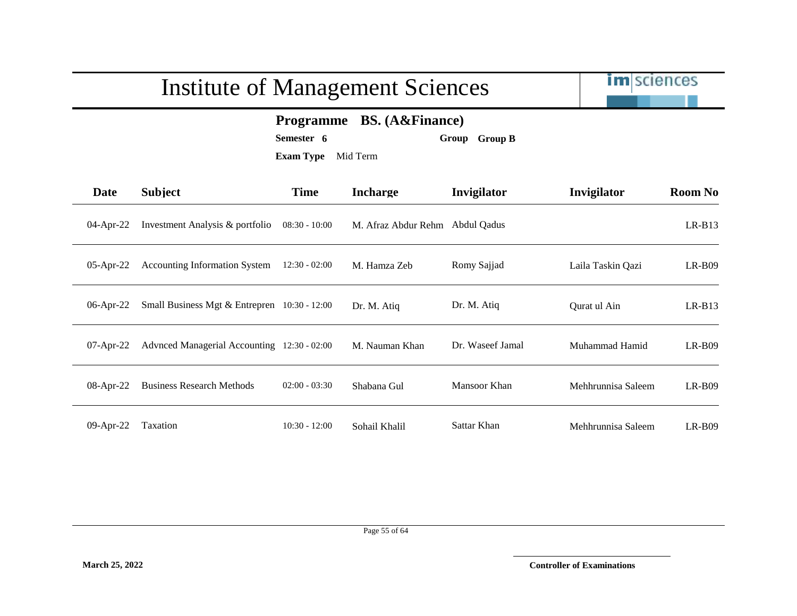|             | <b>Institute of Management Sciences</b>                                                                             | <b>im</b> sciences |                                 |                     |                    |                |  |
|-------------|---------------------------------------------------------------------------------------------------------------------|--------------------|---------------------------------|---------------------|--------------------|----------------|--|
|             | <b>BS.</b> (A&Finance)<br><b>Programme</b><br>Semester 6<br><b>Group B</b><br>Group<br><b>Exam Type</b><br>Mid Term |                    |                                 |                     |                    |                |  |
| <b>Date</b> | <b>Subject</b>                                                                                                      | <b>Time</b>        | <b>Incharge</b>                 | Invigilator         | Invigilator        | <b>Room No</b> |  |
| 04-Apr-22   | Investment Analysis & portfolio                                                                                     | $08:30 - 10:00$    | M. Afraz Abdur Rehm Abdul Qadus |                     |                    | $LR-B13$       |  |
| 05-Apr-22   | <b>Accounting Information System</b>                                                                                | $12:30 - 02:00$    | M. Hamza Zeb                    | Romy Sajjad         | Laila Taskin Qazi  | $LR-B09$       |  |
| 06-Apr-22   | Small Business Mgt & Entrepren 10:30 - 12:00                                                                        |                    | Dr. M. Atiq                     | Dr. M. Atiq         | Qurat ul Ain       | $LR-B13$       |  |
| 07-Apr-22   | Advnced Managerial Accounting 12:30 - 02:00                                                                         |                    | M. Nauman Khan                  | Dr. Waseef Jamal    | Muhammad Hamid     | $LR-B09$       |  |
| 08-Apr-22   | <b>Business Research Methods</b>                                                                                    | $02:00 - 03:30$    | Shabana Gul                     | <b>Mansoor Khan</b> | Mehhrunnisa Saleem | $LR-B09$       |  |
| 09-Apr-22   | Taxation                                                                                                            | $10:30 - 12:00$    | Sohail Khalil                   | Sattar Khan         | Mehhrunnisa Saleem | $LR-B09$       |  |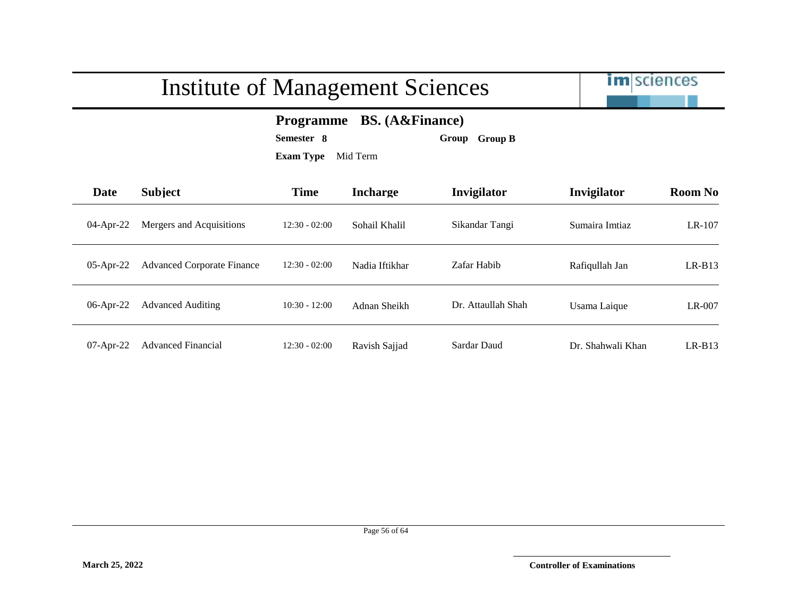|              |                                   | <b>Institute of Management Sciences</b>                                                                   |                 |                    | <b>im</b> sciences |                |
|--------------|-----------------------------------|-----------------------------------------------------------------------------------------------------------|-----------------|--------------------|--------------------|----------------|
|              |                                   | <b>BS.</b> (A&Finance)<br><b>Programme</b><br>Semester 8<br>Group Group B<br><b>Exam Type</b><br>Mid Term |                 |                    |                    |                |
| Date         | <b>Subject</b>                    | <b>Time</b>                                                                                               | <b>Incharge</b> | Invigilator        | Invigilator        | <b>Room No</b> |
| $04$ -Apr-22 | Mergers and Acquisitions          | $12:30 - 02:00$                                                                                           | Sohail Khalil   | Sikandar Tangi     | Sumaira Imtiaz     | LR-107         |
| $05$ -Apr-22 | <b>Advanced Corporate Finance</b> | $12:30 - 02:00$                                                                                           | Nadia Iftikhar  | Zafar Habib        | Rafiqullah Jan     | $LR-B13$       |
| 06-Apr-22    | <b>Advanced Auditing</b>          | $10:30 - 12:00$                                                                                           | Adnan Sheikh    | Dr. Attaullah Shah | Usama Laique       | LR-007         |
| $07$ -Apr-22 | <b>Advanced Financial</b>         | $12:30 - 02:00$                                                                                           | Ravish Sajjad   | Sardar Daud        | Dr. Shahwali Khan  | $LR-B13$       |

### $I \cup I \cup I$  C Management Sciences of Management Sciences of Management Sciences of Management Sciences of Management Sciences of Management Sciences of Management Sciences of Management Sciences of Management Sciences of Ma

Page 56 of 64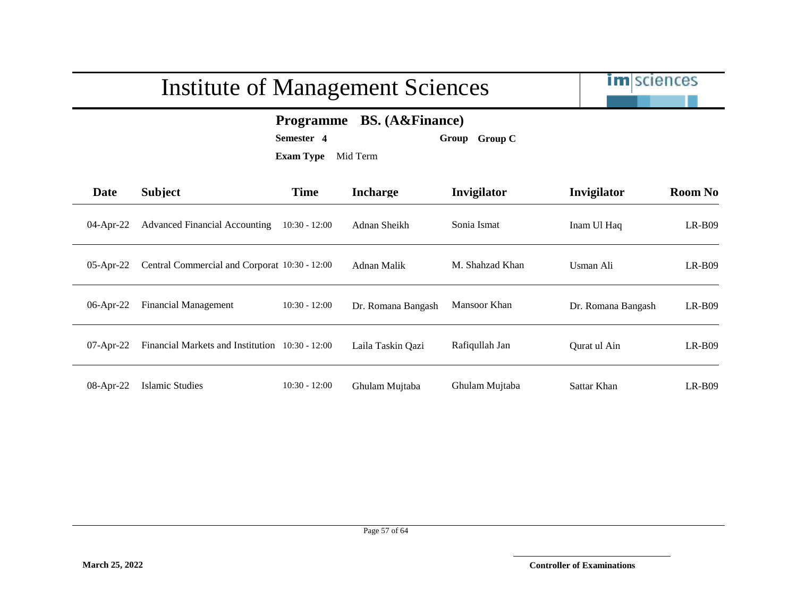

**Programme BS. (A&Finance)**

**Semester 4 Group Group C**

| <b>Date</b>  | <b>Subject</b>                                  | <b>Time</b>     | <b>Incharge</b>    | <b>Invigilator</b> | Invigilator        | <b>Room No</b> |
|--------------|-------------------------------------------------|-----------------|--------------------|--------------------|--------------------|----------------|
| $04$ -Apr-22 | <b>Advanced Financial Accounting</b>            | $10:30 - 12:00$ | Adnan Sheikh       | Sonia Ismat        | Inam Ul Haq        | $LR-B09$       |
| $05$ -Apr-22 | Central Commercial and Corporat 10:30 - 12:00   |                 | Adnan Malik        | M. Shahzad Khan    | Usman Ali          | $LR-B09$       |
| $06$ -Apr-22 | <b>Financial Management</b>                     | $10:30 - 12:00$ | Dr. Romana Bangash | Mansoor Khan       | Dr. Romana Bangash | $LR-B09$       |
| $07$ -Apr-22 | Financial Markets and Institution 10:30 - 12:00 |                 | Laila Taskin Qazi  | Rafiqullah Jan     | Ourat ul Ain       | $LR-B09$       |
| 08-Apr-22    | Islamic Studies                                 | $10:30 - 12:00$ | Ghulam Mujtaba     | Ghulam Mujtaba     | Sattar Khan        | $LR-B09$       |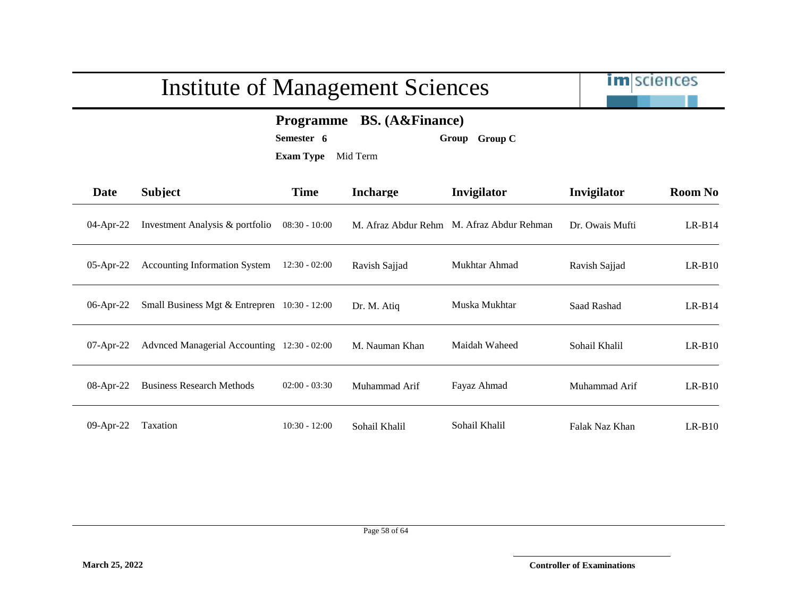

#### **Programme BS. (A&Finance)**

**Semester 6 Group Group C**

**Exam Type** Mid Term

| <b>Date</b>  | <b>Subject</b>                                 | <b>Time</b>     | <b>Incharge</b>     | Invigilator           | Invigilator     | <b>Room No</b> |
|--------------|------------------------------------------------|-----------------|---------------------|-----------------------|-----------------|----------------|
| $04$ -Apr-22 | Investment Analysis & portfolio                | $08:30 - 10:00$ | M. Afraz Abdur Rehm | M. Afraz Abdur Rehman | Dr. Owais Mufti | $LR-B14$       |
| $05$ -Apr-22 | Accounting Information System                  | $12:30 - 02:00$ | Ravish Sajjad       | Mukhtar Ahmad         | Ravish Sajjad   | $LR-B10$       |
| $06$ -Apr-22 | Small Business Mgt & Entrepren $10:30 - 12:00$ |                 | Dr. M. Atiq         | Muska Mukhtar         | Saad Rashad     | $LR-B14$       |
| $07$ -Apr-22 | Advnced Managerial Accounting 12:30 - 02:00    |                 | M. Nauman Khan      | Maidah Waheed         | Sohail Khalil   | $LR-B10$       |
| 08-Apr-22    | <b>Business Research Methods</b>               | $02:00 - 03:30$ | Muhammad Arif       | Fayaz Ahmad           | Muhammad Arif   | $LR-B10$       |
| 09-Apr-22    | Taxation                                       | $10:30 - 12:00$ | Sohail Khalil       | Sohail Khalil         | Falak Naz Khan  | $LR-B10$       |

Page 58 of 64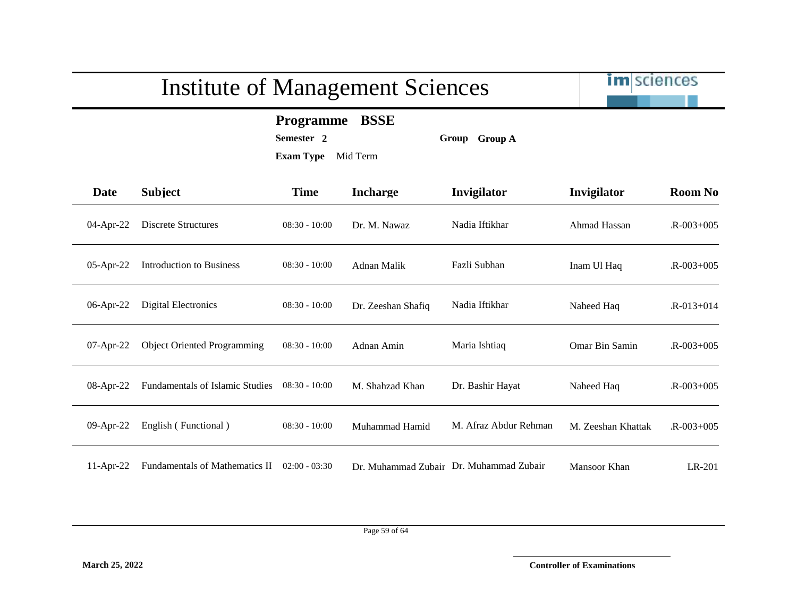

**Programme BSSE**

**Semester 2 Group Group A**

| Date         | <b>Subject</b>                         | <b>Time</b>     | <b>Incharge</b>    | Invigilator                             | Invigilator        | <b>Room No</b>  |
|--------------|----------------------------------------|-----------------|--------------------|-----------------------------------------|--------------------|-----------------|
| 04-Apr-22    | Discrete Structures                    | $08:30 - 10:00$ | Dr. M. Nawaz       | Nadia Iftikhar                          | Ahmad Hassan       | $R - 003 + 005$ |
| 05-Apr-22    | <b>Introduction to Business</b>        | $08:30 - 10:00$ | Adnan Malik        | Fazli Subhan                            | Inam Ul Haq        | $R - 003 + 005$ |
| 06-Apr-22    | Digital Electronics                    | $08:30 - 10:00$ | Dr. Zeeshan Shafiq | Nadia Iftikhar                          | Naheed Haq         | $R - 013 + 014$ |
| $07$ -Apr-22 | <b>Object Oriented Programming</b>     | $08:30 - 10:00$ | Adnan Amin         | Maria Ishtiaq                           | Omar Bin Samin     | $R - 003 + 005$ |
| 08-Apr-22    | <b>Fundamentals of Islamic Studies</b> | $08:30 - 10:00$ | M. Shahzad Khan    | Dr. Bashir Hayat                        | Naheed Haq         | $R - 003 + 005$ |
| $09$ -Apr-22 | English (Functional)                   | $08:30 - 10:00$ | Muhammad Hamid     | M. Afraz Abdur Rehman                   | M. Zeeshan Khattak | $R - 003 + 005$ |
| $11-Apr-22$  | Fundamentals of Mathematics II         | $02:00 - 03:30$ |                    | Dr. Muhammad Zubair Dr. Muhammad Zubair | Mansoor Khan       | LR-201          |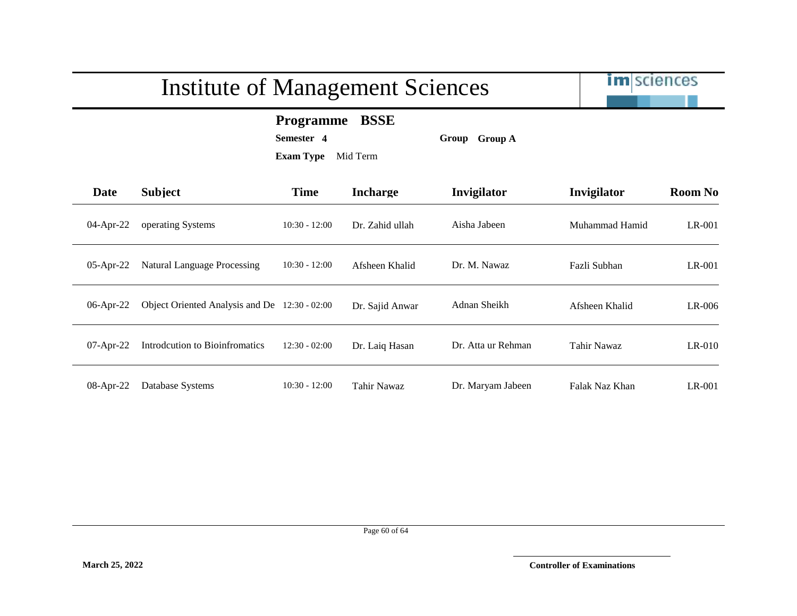# im sciences Institute of Management Sciences **Programme BSSE Semester 4 Group Group A Exam Type** Mid Term **Date Subject Time Incharge Invigilator Invigilator Room No** 04-Apr-22 operating Systems 10:30 - 12:00 Dr. Zahid ullah Aisha Jabeen Muhammad Hamid LR-001 05-Apr-22 Natural Language Processing 10:30 - 12:00 Afsheen Khalid Dr. M. Nawaz Fazli Subhan LR-001 06-Apr-22 Object Oriented Analysis and De 12:30 - 02:00 Dr. Sajid Anwar Adnan Sheikh Afsheen Khalid LR-006 07-Apr-22 Introdcution to Bioinfromatics 12:30 - 02:00 Dr. Laiq Hasan Dr. Atta ur Rehman Tahir Nawaz LR-010 08-Apr-22 Database Systems 10:30 - 12:00 Tahir Nawaz Dr. Maryam Jabeen Falak Naz Khan LR-001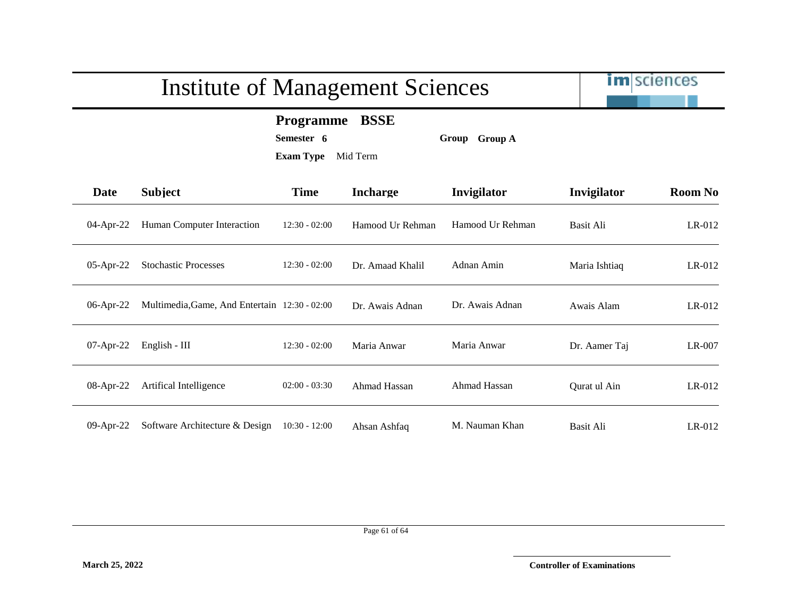

**Programme BSSE**

**Semester 6 Group Group A**

| <b>Date</b>  | <b>Subject</b>                                | <b>Time</b>     | <b>Incharge</b>  | Invigilator      | Invigilator   | <b>Room No</b> |
|--------------|-----------------------------------------------|-----------------|------------------|------------------|---------------|----------------|
| 04-Apr-22    | Human Computer Interaction                    | $12:30 - 02:00$ | Hamood Ur Rehman | Hamood Ur Rehman | Basit Ali     | $LR-012$       |
| 05-Apr-22    | <b>Stochastic Processes</b>                   | $12:30 - 02:00$ | Dr. Amaad Khalil | Adnan Amin       | Maria Ishtiaq | $LR-012$       |
| 06-Apr-22    | Multimedia, Game, And Entertain 12:30 - 02:00 |                 | Dr. Awais Adnan  | Dr. Awais Adnan  | Awais Alam    | $LR-012$       |
| $07-Apr-22$  | English - $III$                               | $12:30 - 02:00$ | Maria Anwar      | Maria Anwar      | Dr. Aamer Taj | LR-007         |
| 08-Apr-22    | Artifical Intelligence                        | $02:00 - 03:30$ | Ahmad Hassan     | Ahmad Hassan     | Qurat ul Ain  | $LR-012$       |
| $09$ -Apr-22 | Software Architecture & Design                | $10:30 - 12:00$ | Ahsan Ashfaq     | M. Nauman Khan   | Basit Ali     | $LR-012$       |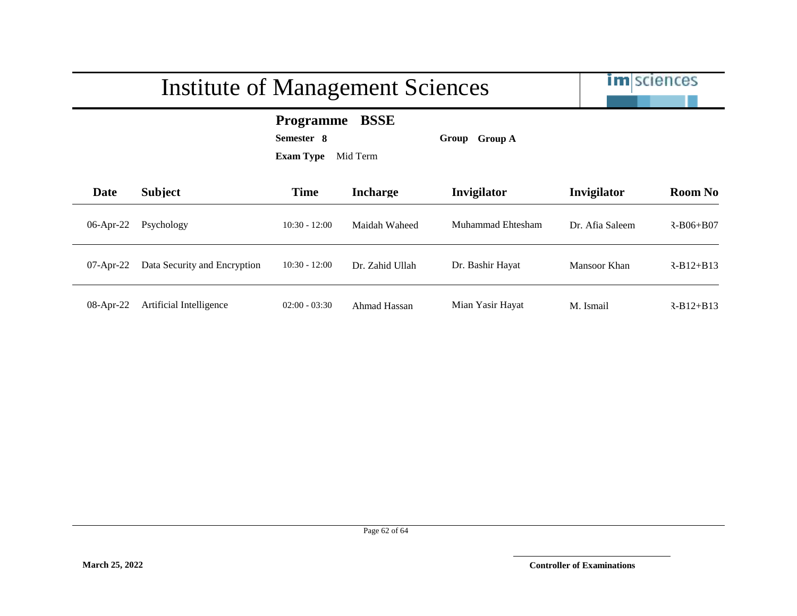

**Programme BSSE**

**Semester 8 Group Group A**

| Date         | <b>Subject</b>               | <b>Time</b>     | <b>Incharge</b> | Invigilator       | Invigilator     | <b>Room No</b>  |
|--------------|------------------------------|-----------------|-----------------|-------------------|-----------------|-----------------|
| $06$ -Apr-22 | Psychology                   | $10:30 - 12:00$ | Maidah Waheed   | Muhammad Ehtesham | Dr. Afia Saleem | $R - B06 + B07$ |
| $07$ -Apr-22 | Data Security and Encryption | $10:30 - 12:00$ | Dr. Zahid Ullah | Dr. Bashir Hayat  | Mansoor Khan    | $R - B12 + B13$ |
| $08$ -Apr-22 | Artificial Intelligence      | $02:00 - 03:30$ | Ahmad Hassan    | Mian Yasir Hayat  | M. Ismail       | $R - B12 + B13$ |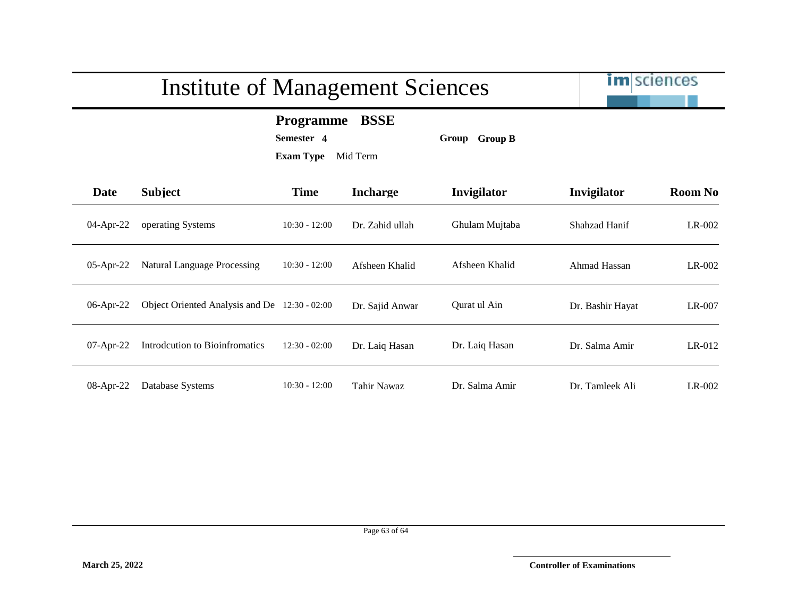# im sciences Institute of Management Sciences **Programme BSSE Semester 4 Group Group B Exam Type** Mid Term **Date Subject Time Incharge Invigilator Invigilator Room No** 04-Apr-22 operating Systems 10:30 - 12:00 Dr. Zahid ullah Ghulam Mujtaba Shahzad Hanif LR-002 05-Apr-22 Natural Language Processing 10:30 - 12:00 Afsheen Khalid Afsheen Khalid Ahmad Hassan LR-002 06-Apr-22 Object Oriented Analysis and De 12:30 - 02:00 Dr. Sajid Anwar Qurat ul Ain Dr. Bashir Hayat LR-007 07-Apr-22 Introdcution to Bioinfromatics 12:30 - 02:00 Dr. Laiq Hasan Dr. Laiq Hasan Dr. Salma Amir LR-012 08-Apr-22 Database Systems 10:30 - 12:00 Tahir Nawaz Dr. Salma Amir Dr. Tamleek Ali LR-002